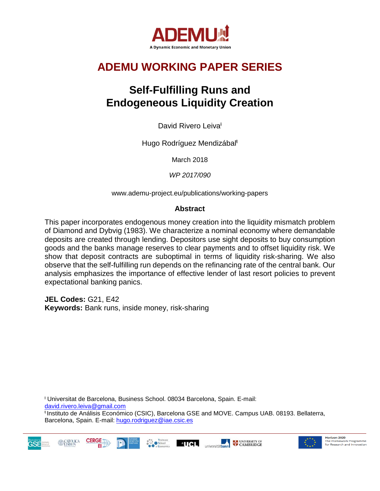

# **ADEMU WORKING PAPER SERIES**

## **Self-Fulfilling Runs and Endogeneous Liquidity Creation**

David Rivero Leiva<sup>t</sup>

Hugo Rodríguez Mendizábal<sup>ŧ</sup>

March 2018

*WP 2017/090*

www.ademu-project.eu/publications/working-papers

## **Abstract**

This paper incorporates endogenous money creation into the liquidity mismatch problem of Diamond and Dybvig (1983). We characterize a nominal economy where demandable deposits are created through lending. Depositors use sight deposits to buy consumption goods and the banks manage reserves to clear payments and to offset liquidity risk. We show that deposit contracts are suboptimal in terms of liquidity risk-sharing. We also observe that the self-fulfilling run depends on the refinancing rate of the central bank. Our analysis emphasizes the importance of effective lender of last resort policies to prevent expectational banking panics.

**JEL Codes:** G21, E42 **Keywords:** Bank runs, inside money, risk-sharing

<sup>ƚ</sup> Universitat de Barcelona, Business School. 08034 Barcelona, Spain. E-mail: [david.rivero.leiva@gmail.com](mailto:david.rivero.leiva@gmail.com) *tInstituto de Análisis Económico (CSIC), Barcelona GSE and MOVE. Campus UAB. 08193. Bellaterra,* Barcelona, Spain. E-mail: [hugo.rodriguez@iae.csic.es](mailto:hugo.rodriguez@iae.csic.es)

**ELECTRIC CONTRACTES**<br> **CAMBRIDGE** 





Horizon 2020 The Framework Programme<br>for Research and Innovation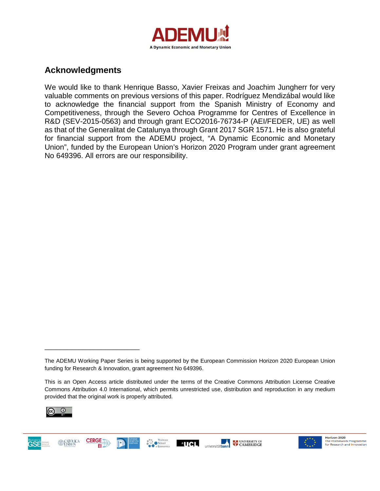

## **Acknowledgments**

We would like to thank Henrique Basso, Xavier Freixas and Joachim Jungherr for very valuable comments on previous versions of this paper. Rodríguez Mendizábal would like to acknowledge the financial support from the Spanish Ministry of Economy and Competitiveness, through the Severo Ochoa Programme for Centres of Excellence in R&D (SEV-2015-0563) and through grant ECO2016-76734-P (AEI/FEDER, UE) as well as that of the Generalitat de Catalunya through Grant 2017 SGR 1571. He is also grateful for financial support from the ADEMU project, "A Dynamic Economic and Monetary Union", funded by the European Union's Horizon 2020 Program under grant agreement No 649396. All errors are our responsibility.

This is an Open Access article distributed under the terms of the Creative Commons Attribution License Creative Commons Attribution 4.0 International, which permits unrestricted use, distribution and reproduction in any medium provided that the original work is properly attributed.



\_\_\_\_\_\_\_\_\_\_\_\_\_\_\_\_\_\_\_\_\_\_\_\_\_





The ADEMU Working Paper Series is being supported by the European Commission Horizon 2020 European Union funding for Research & Innovation, grant agreement No 649396.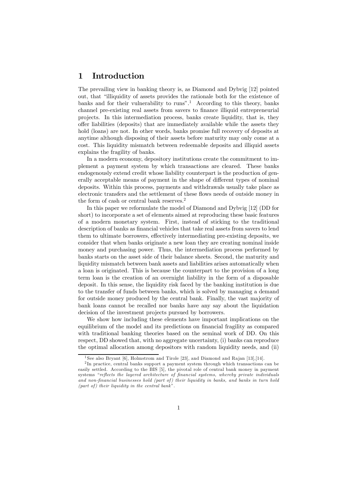## 1 Introduction

The prevailing view in banking theory is, as Diamond and Dybvig [12] pointed out, that "illiquidity of assets provides the rationale both for the existence of banks and for their vulnerability to runs".<sup>1</sup> According to this theory, banks channel pre-existing real assets from savers to finance illiquid entrepreneurial projects. In this intermediation process, banks create liquidity, that is, they offer liabilities (deposits) that are immediately available while the assets they hold (loans) are not. In other words, banks promise full recovery of deposits at anytime although disposing of their assets before maturity may only come at a cost. This liquidity mismatch between redeemable deposits and illiquid assets explains the fragility of banks.

In a modern economy, depository institutions create the commitment to implement a payment system by which transactions are cleared. These banks endogenously extend credit whose liability counterpart is the production of generally acceptable means of payment in the shape of different types of nominal deposits. Within this process, payments and withdrawals usually take place as electronic transfers and the settlement of these flows needs of outside money in the form of cash or central bank reserves.<sup>2</sup>

In this paper we reformulate the model of Diamond and Dybvig [12] (DD for short) to incorporate a set of elements aimed at reproducing these basic features of a modern monetary system. First, instead of sticking to the traditional description of banks as financial vehicles that take real assets from savers to lend them to ultimate borrowers, effectively intermediating pre-existing deposits, we consider that when banks originate a new loan they are creating nominal inside money and purchasing power. Thus, the intermediation process performed by banks starts on the asset side of their balance sheets. Second, the maturity and liquidity mismatch between bank assets and liabilities arises automatically when a loan is originated. This is because the counterpart to the provision of a long term loan is the creation of an overnight liability in the form of a disposable deposit. In this sense, the liquidity risk faced by the banking institution is due to the transfer of funds between banks, which is solved by managing a demand for outside money produced by the central bank. Finally, the vast majority of bank loans cannot be recalled nor banks have any say about the liquidation decision of the investment projects pursued by borrowers.

We show how including these elements have important implications on the equilibrium of the model and its predictions on financial fragility as compared with traditional banking theories based on the seminal work of DD. On this respect, DD showed that, with no aggregate uncertainty, (i) banks can reproduce the optimal allocation among depositors with random liquidity needs, and (ii)

<sup>&</sup>lt;sup>1</sup> See also Bryant [6], Holmstrom and Tirole [23], and Diamond and Rajan [13], [14].

 $^2{\rm In}$  practice, central banks support a payment system through which transactions can be easily settled. According to the BIS [5], the pivotal role of central bank money in payment systems "reflects the layered architecture of financial systems, whereby private individuals and non-financial businesses hold (part of) their liquidity in banks, and banks in turn hold (part of) their liquidity in the central bank".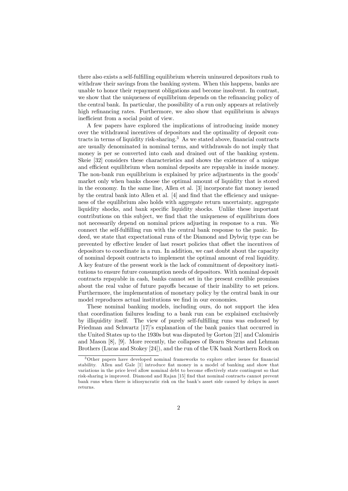there also exists a self-fulfilling equilibrium wherein uninsured depositors rush to withdraw their savings from the banking system. When this happens, banks are unable to honor their repayment obligations and become insolvent. In contrast, we show that the uniqueness of equilibrium depends on the refinancing policy of the central bank. In particular, the possibility of a run only appears at relatively high refinancing rates. Furthermore, we also show that equilibrium is always inefficient from a social point of view.

A few papers have explored the implications of introducing inside money over the withdrawal incentives of depositors and the optimality of deposit contracts in terms of liquidity risk-sharing.<sup>3</sup> As we stated above, financial contracts are usually denominated in nominal terms, and withdrawals do not imply that money is per se converted into cash and drained out of the banking system. Skeie [32] considers these characteristics and shows the existence of a unique and efficient equilibrium when nominal deposits are repayable in inside money. The non-bank run equilibrium is explained by price adjustments in the goods' market only when banks choose the optimal amount of liquidity that is stored in the economy. In the same line, Allen et al. [3] incorporate fiat money issued by the central bank into Allen et al. [4] and find that the efficiency and uniqueness of the equilibrium also holds with aggregate return uncertainty, aggregate liquidity shocks, and bank specific liquidity shocks. Unlike these important contributions on this subject, we find that the uniqueness of equilibrium does not necessarily depend on nominal prices adjusting in response to a run. We connect the self-fulfilling run with the central bank response to the panic. Indeed, we state that expectational runs of the Diamond and Dybvig type can be prevented by effective lender of last resort policies that offset the incentives of depositors to coordinate in a run. In addition, we cast doubt about the capacity of nominal deposit contracts to implement the optimal amount of real liquidity. A key feature of the present work is the lack of commitment of depository institutions to ensure future consumption needs of depositors. With nominal deposit contracts repayable in cash, banks cannot set in the present credible promises about the real value of future payoffs because of their inability to set prices. Furthermore, the implementation of monetary policy by the central bank in our model reproduces actual institutions we find in our economies.

These nominal banking models, including ours, do not support the idea that coordination failures leading to a bank run can be explained exclusively by illiquidity itself. The view of purely self-fulfilling runs was endorsed by Friedman and Schwartz [17]'s explanation of the bank panics that occurred in the United States up to the 1930s but was disputed by Gorton [21] and Calomiris and Mason [8], [9]. More recently, the collapses of Bearn Stearns and Lehman Brothers (Lucas and Stokey [24]), and the run of the UK bank Northern Rock on

<sup>&</sup>lt;sup>3</sup>Other papers have developed nominal frameworks to explore other issues for financial stability. Allen and Gale [1] introduce fiat money in a model of banking and show that variations in the price level allow nominal debt to become effectively state contingent so that risk-sharing is improved. Diamond and Rajan [15] find that nominal contracts cannot prevent bank runs when there is idiosyncratic risk on the bank's asset side caused by delays in asset returns.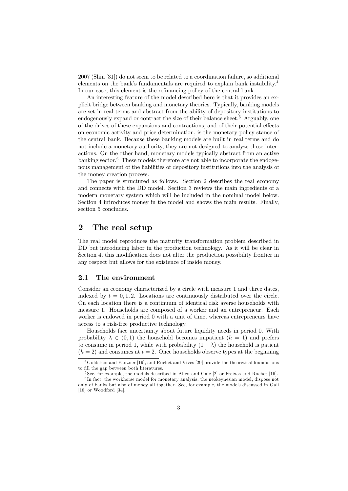2007 (Shin [31]) do not seem to be related to a coordination failure, so additional elements on the bank's fundamentals are required to explain bank instability.<sup>4</sup> In our case, this element is the refinancing policy of the central bank.

An interesting feature of the model described here is that it provides an explicit bridge between banking and monetary theories. Typically, banking models are set in real terms and abstract from the ability of depository institutions to endogenously expand or contract the size of their balance sheet.<sup>5</sup> Arguably, one of the drives of these expansions and contractions, and of their potential effects on economic activity and price determination, is the monetary policy stance of the central bank. Because these banking models are built in real terms and do not include a monetary authority, they are not designed to analyze these interactions. On the other hand, monetary models typically abstract from an active banking sector. $6$  These models therefore are not able to incorporate the endogenous management of the liabilities of depository institutions into the analysis of the money creation process.

The paper is structured as follows. Section 2 describes the real economy and connects with the DD model. Section 3 reviews the main ingredients of a modern monetary system which will be included in the nominal model below. Section 4 introduces money in the model and shows the main results. Finally, section 5 concludes.

### 2 The real setup

The real model reproduces the maturity transformation problem described in DD but introducing labor in the production technology. As it will be clear in Section 4, this modification does not alter the production possibility frontier in any respect but allows for the existence of inside money.

#### 2.1 The environment

Consider an economy characterized by a circle with measure 1 and three dates, indexed by  $t = 0, 1, 2$ . Locations are continuously distributed over the circle. On each location there is a continuum of identical risk averse households with measure 1. Households are composed of a worker and an entrepreneur. Each worker is endowed in period 0 with a unit of time, whereas entrepreneurs have access to a risk-free productive technology.

Households face uncertainty about future liquidity needs in period 0. With probability  $\lambda \in (0,1)$  the household becomes impatient  $(h = 1)$  and prefers to consume in period 1, while with probability  $(1 - \lambda)$  the household is patient  $(h = 2)$  and consumes at  $t = 2$ . Once households observe types at the beginning

<sup>4</sup>Goldstein and Pauzner [19], and Rochet and Vives [29] provide the theoretical foundations to fill the gap between both literatures.

<sup>&</sup>lt;sup>5</sup> See, for example, the models described in Allen and Gale [2] or Freixas and Rochet [16].

 $^6{\rm In}$  fact, the workhorse model for monetary analysis, the neokeynesian model, dispose not only of banks but also of money all together. See, for example, the models discussed in Gali [18] or Woodford [34].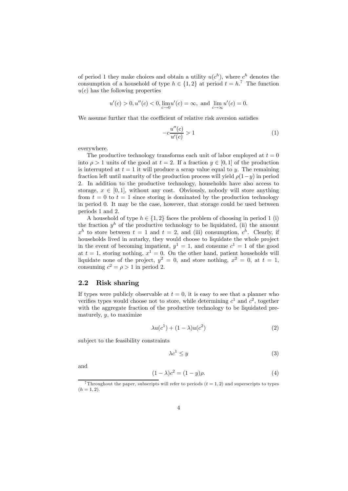of period 1 they make choices and obtain a utility  $u(c^h)$ , where  $c^h$  denotes the consumption of a household of type  $h \in \{1, 2\}$  at period  $t = h$ .<sup>7</sup> The function  $u(c)$  has the following properties

$$
u'(c) > 0, u''(c) < 0, \lim_{c \to 0} u'(c) = \infty
$$
, and  $\lim_{c \to \infty} u'(c) = 0$ .

We assume further that the coefficient of relative risk aversion satisfies

$$
-c\frac{u''(c)}{u'(c)} > 1\tag{1}
$$

everywhere.

The productive technology transforms each unit of labor employed at  $t = 0$ into  $\rho > 1$  units of the good at  $t = 2$ . If a fraction  $y \in [0, 1]$  of the production is interrupted at  $t = 1$  it will produce a scrap value equal to  $y$ . The remaining fraction left until maturity of the production process will yield  $\rho(1-\nu)$  in period 2. In addition to the productive technology, households have also access to storage,  $x \in [0,1]$ , without any cost. Obviously, nobody will store anything from  $t = 0$  to  $t = 1$  since storing is dominated by the production technology in period 0. It may be the case, however, that storage could be used between periods 1 and 2.

A household of type  $h \in \{1,2\}$  faces the problem of choosing in period 1 (i) the fraction  $y^h$  of the productive technology to be liquidated, (ii) the amount  $x^h$  to store between  $t = 1$  and  $t = 2$ , and (iii) consumption,  $c^h$ . Clearly, if households lived in autarky, they would choose to liquidate the whole project in the event of becoming impatient,  $y^1 = 1$ , and consume  $c^1 = 1$  of the good at  $t = 1$ , storing nothing,  $x^1 = 0$ . On the other hand, patient households will liquidate none of the project,  $y^2 = 0$ , and store nothing,  $x^2 = 0$ , at  $t = 1$ , consuming  $c^2 = \rho > 1$  in period 2.

#### 2.2 Risk sharing

If types were publicly observable at  $t = 0$ , it is easy to see that a planner who verifies types would choose not to store, while determining  $c^1$  and  $c^2$ , together with the aggregate fraction of the productive technology to be liquidated prematurely,  $y$ , to maximize

$$
\lambda u(c^1) + (1 - \lambda)u(c^2) \tag{2}
$$

subject to the feasibility constraints

$$
\lambda c^1 \le y \tag{3}
$$

$$
(1 - \lambda)c^2 = (1 - y)\rho.
$$
\n<sup>(4)</sup>

<sup>&</sup>lt;sup>7</sup>Throughout the paper, subscripts will refer to periods  $(t = 1, 2)$  and superscripts to types  $(h = 1, 2).$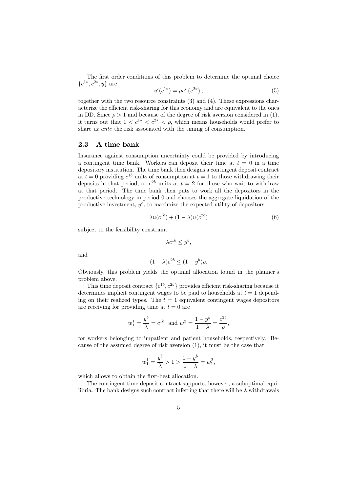The first order conditions of this problem to determine the optimal choice  ${c<sup>1*</sup>, c<sup>2*</sup>, y}$  are

$$
u'(c^{1*}) = \rho u'(c^{2*}),
$$
\n(5)

together with the two resource constraints (3) and (4). These expressions characterize the efficient risk-sharing for this economy and are equivalent to the ones in DD. Since  $\rho > 1$  and because of the degree of risk aversion considered in (1), it turns out that  $1 < c^{1*} < c^{2*} < \rho$ , which means households would prefer to share ex ante the risk associated with the timing of consumption.

#### 2.3 A time bank

Insurance against consumption uncertainty could be provided by introducing a contingent time bank. Workers can deposit their time at  $t = 0$  in a time depository institution. The time bank then designs a contingent deposit contract at  $t = 0$  providing  $c^{1b}$  units of consumption at  $t = 1$  to those withdrawing their deposits in that period, or  $c^{2b}$  units at  $t = 2$  for those who wait to withdraw at that period. The time bank then puts to work all the depositors in the productive technology in period 0 and chooses the aggregate liquidation of the productive investment,  $y^b$ , to maximize the expected utility of depositors

$$
\lambda u(c^{1b}) + (1 - \lambda)u(c^{2b})\tag{6}
$$

subject to the feasibility constraint

$$
\lambda c^{1b} \le y^b,
$$

and

$$
(1 - \lambda)c^{2b} \le (1 - y^b)\rho.
$$

Obviously, this problem yields the optimal allocation found in the planner's problem above.

This time deposit contract  $\{c^{1b}, c^{2b}\}$  provides efficient risk-sharing because it determines implicit contingent wages to be paid to households at  $t = 1$  depending on their realized types. The  $t = 1$  equivalent contingent wages depositors are receiving for providing time at  $t = 0$  are

$$
w_1^1 = \frac{y^b}{\lambda} = c^{1b}
$$
 and  $w_1^2 = \frac{1 - y^b}{1 - \lambda} = \frac{c^{2b}}{\rho}$ ,

for workers belonging to impatient and patient households, respectively. Because of the assumed degree of risk aversion (1), it must be the case that

$$
w_1^1 = \frac{y^b}{\lambda} > 1 > \frac{1 - y^b}{1 - \lambda} = w_1^2
$$

which allows to obtain the first-best allocation.

The contingent time deposit contract supports, however, a suboptimal equilibria. The bank designs such contract inferring that there will be  $\lambda$  withdrawals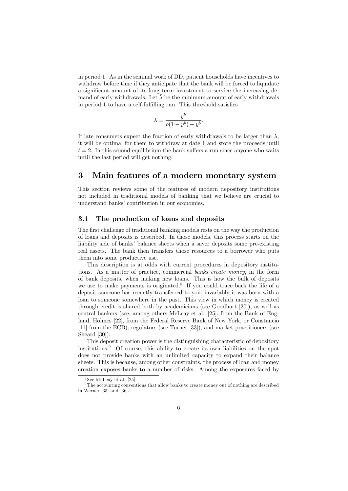in period 1. As in the seminal work of DD, patient households have incentives to withdraw before time if they anticipate that the bank will be forced to liquidate a significant amount of its long term investment to service the increasing demand of early withdrawals. Let  $\lambda$  be the minimum amount of early withdrawals in period 1 to have a self-fulfilling run. This threshold satisfies

$$
\bar{\lambda} = \frac{y^b}{\rho(1 - y^b) + y^b}.
$$

If late consumers expect the fraction of early withdrawals to be larger than  $\overline{\lambda}$ , it will be optimal for them to withdraw at date 1 and store the proceeds until  $t = 2$ . In this second equilibrium the bank suffers a run since anyone who waits until the last period will get nothing.

## 3 Main features of a modern monetary system

This section reviews some of the features of modern depository institutions not included in traditional models of banking that we believe are crucial to understand banks' contribution in our economies.

#### 3.1 The production of loans and deposits

The first challenge of traditional banking models rests on the way the production of loans and deposits is described. In those models, this process starts on the liability side of banks' balance sheets when a saver deposits some pre-existing real assets. The bank then transfers those resources to a borrower who puts them into some productive use.

This description is at odds with current procedures in depository institutions. As a matter of practice, commercial banks create money, in the form of bank deposits, when making new loans. This is how the bulk of deposits we use to make payments is originated.<sup>8</sup> If you could trace back the life of a deposit someone has recently transferred to you, invariably it was born with a loan to someone somewhere in the past. This view in which money is created through credit is shared both by academicians (see Goodhart [20]), as well as central bankers (see, among others McLeay et al. [25], from the Bank of England, Holmes [22], from the Federal Reserve Bank of New York, or Constancio [11] from the ECB), regulators (see Turner [33]), and market practitioners (see Sheard [30]).

This deposit creation power is the distinguishing characteristic of depository institutions.9 Of course, this ability to create its own liabilities on the spot does not provide banks with an unlimited capacity to expand their balance sheets. This is because, among other constraints, the process of loan and money creation exposes banks to a number of risks. Among the exposures faced by

<sup>8</sup> See McLeay et al. [25].

<sup>&</sup>lt;sup>9</sup>The accounting conventions that allow banks to create money out of nothing are described in Werner [35] and [36].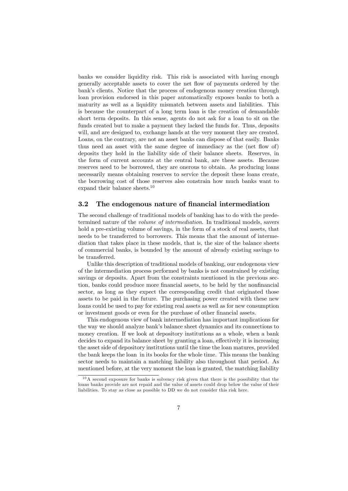banks we consider liquidity risk. This risk is associated with having enough generally acceptable assets to cover the net flow of payments ordered by the bank's clients. Notice that the process of endogenous money creation through loan provision endorsed in this paper automatically exposes banks to both a maturity as well as a liquidity mismatch between assets and liabilities. This is because the counterpart of a long term loan is the creation of demandable short term deposits. In this sense, agents do not ask for a loan to sit on the funds created but to make a payment they lacked the funds for. Thus, deposits will, and are designed to, exchange hands at the very moment they are created. Loans, on the contrary, are not an asset banks can dispose of that easily. Banks thus need an asset with the same degree of immediacy as the (net flow of) deposits they hold in the liability side of their balance sheets. Reserves, in the form of current accounts at the central bank, are these assets. Because reserves need to be borrowed, they are onerous to obtain. As producing loans necessarily means obtaining reserves to service the deposit these loans create, the borrowing cost of those reserves also constrain how much banks want to expand their balance sheets.<sup>10</sup>

#### 3.2 The endogenous nature of financial intermediation

The second challenge of traditional models of banking has to do with the predetermined nature of the volume of intermediation. In traditional models, savers hold a pre-existing volume of savings, in the form of a stock of real assets, that needs to be transferred to borrowers. This means that the amount of intermediation that takes place in these models, that is, the size of the balance sheets of commercial banks, is bounded by the amount of already existing savings to be transferred.

Unlike this description of traditional models of banking, our endogenous view of the intermediation process performed by banks is not constrained by existing savings or deposits. Apart from the constraints mentioned in the previous section, banks could produce more financial assets, to be held by the nonfinancial sector, as long as they expect the corresponding credit that originated those assets to be paid in the future. The purchasing power created with these new loans could be used to pay for existing real assets as well as for new consumption or investment goods or even for the purchase of other financial assets.

This endogenous view of bank intermediation has important implications for the way we should analyze bank's balance sheet dynamics and its connections to money creation. If we look at depository institutions as a whole, when a bank decides to expand its balance sheet by granting a loan, effectively it is increasing the asset side of depository institutions until the time the loan matures, provided the bank keeps the loan in its books for the whole time. This means the banking sector needs to maintain a matching liability also throughout that period. As mentioned before, at the very moment the loan is granted, the matching liability

 $10A$  second exposure for banks is solvency risk given that there is the possibility that the loans banks provide are not repaid and the value of assets could drop below the value of their liabilities. To stay as close as possible to DD we do not consider this risk here.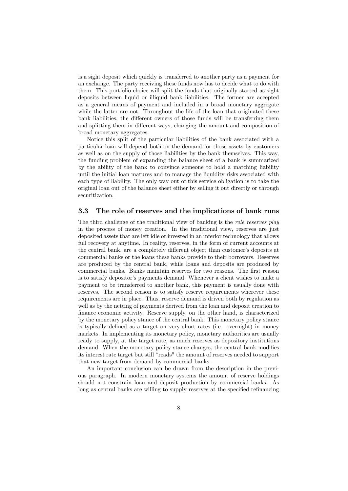is a sight deposit which quickly is transferred to another party as a payment for an exchange. The party receiving these funds now has to decide what to do with them. This portfolio choice will split the funds that originally started as sight deposits between liquid or illiquid bank liabilities. The former are accepted as a general means of payment and included in a broad monetary aggregate while the latter are not. Throughout the life of the loan that originated these bank liabilities, the different owners of those funds will be transferring them and splitting them in different ways, changing the amount and composition of broad monetary aggregates.

Notice this split of the particular liabilities of the bank associated with a particular loan will depend both on the demand for those assets by customers as well as on the supply of those liabilities by the bank themselves. This way, the funding problem of expanding the balance sheet of a bank is summarized by the ability of the bank to convince someone to hold a matching liability until the initial loan matures and to manage the liquidity risks associated with each type of liability. The only way out of this service obligation is to take the original loan out of the balance sheet either by selling it out directly or through securitization.

#### 3.3 The role of reserves and the implications of bank runs

The third challenge of the traditional view of banking is the *role reserves play* in the process of money creation. In the traditional view, reserves are just deposited assets that are left idle or invested in an inferior technology that allows full recovery at anytime. In reality, reserves, in the form of current accounts at the central bank, are a completely different object than customer's deposits at commercial banks or the loans these banks provide to their borrowers. Reserves are produced by the central bank, while loans and deposits are produced by commercial banks. Banks maintain reserves for two reasons. The first reason is to satisfy depositor's payments demand. Whenever a client wishes to make a payment to be transferred to another bank, this payment is usually done with reserves. The second reason is to satisfy reserve requirements wherever these requirements are in place. Thus, reserve demand is driven both by regulation as well as by the netting of payments derived from the loan and deposit creation to finance economic activity. Reserve supply, on the other hand, is characterized by the monetary policy stance of the central bank. This monetary policy stance is typically defined as a target on very short rates (i.e. overnight) in money markets. In implementing its monetary policy, monetary authorities are usually ready to supply, at the target rate, as much reserves as depository institutions demand. When the monetary policy stance changes, the central bank modifies its interest rate target but still "reads" the amount of reserves needed to support that new target from demand by commercial banks.

An important conclusion can be drawn from the description in the previous paragraph. In modern monetary systems the amount of reserve holdings should not constrain loan and deposit production by commercial banks. As long as central banks are willing to supply reserves at the specified refinancing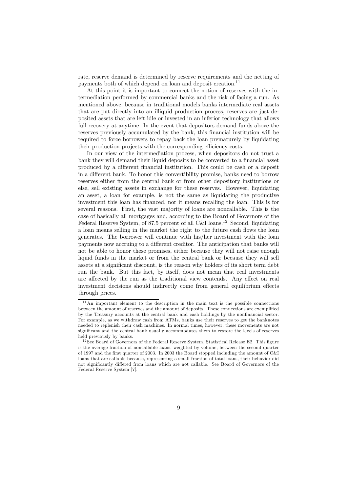rate, reserve demand is determined by reserve requirements and the netting of payments both of which depend on loan and deposit creation.11

At this point it is important to connect the notion of reserves with the intermediation performed by commercial banks and the risk of facing a run. As mentioned above, because in traditional models banks intermediate real assets that are put directly into an illiquid production process, reserves are just deposited assets that are left idle or invested in an inferior technology that allows full recovery at anytime. In the event that depositors demand funds above the reserves previously accumulated by the bank, this financial institution will be required to force borrowers to repay back the loan prematurely by liquidating their production projects with the corresponding efficiency costs.

In our view of the intermediation process, when depositors do not trust a bank they will demand their liquid deposits to be converted to a financial asset produced by a different financial institution. This could be cash or a deposit in a different bank. To honor this convertibility promise, banks need to borrow reserves either from the central bank or from other depository institutions or else, sell existing assets in exchange for these reserves. However, liquidating an asset, a loan for example, is not the same as liquidating the productive investment this loan has financed, nor it means recalling the loan. This is for several reasons. First, the vast majority of loans are noncallable. This is the case of basically all mortgages and, according to the Board of Governors of the Federal Reserve System, of 87.5 percent of all C&I loans.<sup>12</sup> Second, liquidating a loan means selling in the market the right to the future cash flows the loan generates. The borrower will continue with his/her investment with the loan payments now accruing to a different creditor. The anticipation that banks will not be able to honor these promises, either because they will not raise enough liquid funds in the market or from the central bank or because they will sell assets at a significant discount, is the reason why holders of its short term debt run the bank. But this fact, by itself, does not mean that real investments are affected by the run as the traditional view contends. Any effect on real investment decisions should indirectly come from general equilibrium effects through prices.

 $11$ An important element to the description in the main text is the possible connections between the amount of reserves and the amount of deposits. These connections are exemplified by the Treasury accounts at the central bank and cash holdings by the nonfinancial sector. For example, as we withdraw cash from ATMs, banks use their reserves to get the banknotes needed to replenish their cash machines. In normal times, however, these movements are not significant and the central bank usually accommodates them to restore the levels of reserves held previously by banks.

 $12$  See Board of Governors of the Federal Reserve System, Statistical Release E2. This figure is the average fraction of noncallable loans, weighted by volume, between the second quarter of 1997 and the first quarter of 2003. In 2003 the Board stopped including the amount of C&I loans that are callable because, representing a small fraction of total loans, their behavior did not significantly differed from loans which are not callable. See Board of Governors of the Federal Reserve System [7].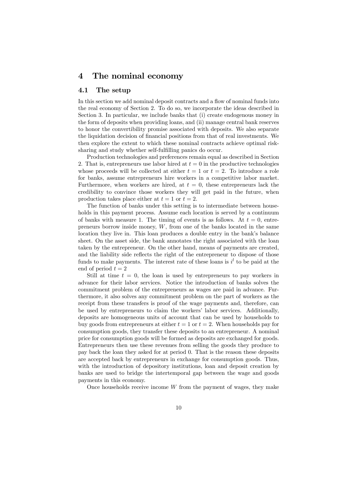### 4 The nominal economy

#### 4.1 The setup

In this section we add nominal deposit contracts and a flow of nominal funds into the real economy of Section 2. To do so, we incorporate the ideas described in Section 3. In particular, we include banks that (i) create endogenous money in the form of deposits when providing loans, and (ii) manage central bank reserves to honor the convertibility promise associated with deposits. We also separate the liquidation decision of financial positions from that of real investments. We then explore the extent to which these nominal contracts achieve optimal risksharing and study whether self-fulfilling panics do occur.

Production technologies and preferences remain equal as described in Section 2. That is, entrepreneurs use labor hired at  $t = 0$  in the productive technologies whose proceeds will be collected at either  $t = 1$  or  $t = 2$ . To introduce a role for banks, assume entrepreneurs hire workers in a competitive labor market. Furthermore, when workers are hired, at  $t = 0$ , these entrepreneurs lack the credibility to convince those workers they will get paid in the future, when production takes place either at  $t = 1$  or  $t = 2$ .

The function of banks under this setting is to intermediate between households in this payment process. Assume each location is served by a continuum of banks with measure 1. The timing of events is as follows. At  $t = 0$ , entrepreneurs borrow inside money,  $W$ , from one of the banks located in the same location they live in. This loan produces a double entry in the bank's balance sheet. On the asset side, the bank annotates the right associated with the loan taken by the entrepreneur. On the other hand, means of payments are created, and the liability side reflects the right of the entrepreneur to dispose of those funds to make payments. The interest rate of these loans is  $i<sup>l</sup>$  to be paid at the end of period  $t = 2$ 

Still at time  $t = 0$ , the loan is used by entrepreneurs to pay workers in advance for their labor services. Notice the introduction of banks solves the commitment problem of the entrepreneurs as wages are paid in advance. Furthermore, it also solves any commitment problem on the part of workers as the receipt from these transfers is proof of the wage payments and, therefore, can be used by entrepreneurs to claim the workers' labor services. Additionally, deposits are homogeneous units of account that can be used by households to buy goods from entrepreneurs at either  $t = 1$  or  $t = 2$ . When households pay for consumption goods, they transfer these deposits to an entrepreneur. A nominal price for consumption goods will be formed as deposits are exchanged for goods. Entrepreneurs then use these revenues from selling the goods they produce to pay back the loan they asked for at period 0. That is the reason these deposits are accepted back by entrepreneurs in exchange for consumption goods. Thus, with the introduction of depository institutions, loan and deposit creation by banks are used to bridge the intertemporal gap between the wage and goods payments in this economy.

Once households receive income  $W$  from the payment of wages, they make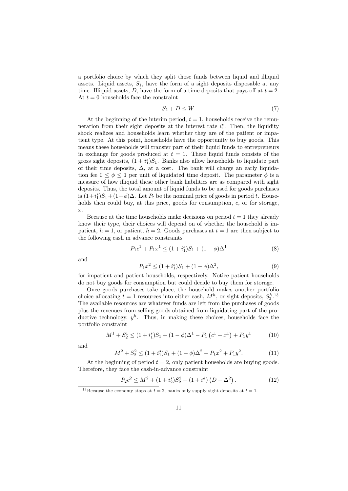a portfolio choice by which they split those funds between liquid and illiquid assets. Liquid assets,  $S_1$ , have the form of a sight deposits disposable at any time. Illiquid assets, D, have the form of a time deposits that pays off at  $t = 2$ . At  $t = 0$  households face the constraint

$$
S_1 + D \le W.\tag{7}
$$

At the beginning of the interim period,  $t = 1$ , households receive the remuneration from their sight deposits at the interest rate  $i_1^s$ . Then, the liquidity shock realizes and households learn whether they are of the patient or impatient type. At this point, households have the opportunity to buy goods. This means these households will transfer part of their liquid funds to entrepreneurs in exchange for goods produced at  $t = 1$ . These liquid funds consists of the gross sight deposits,  $(1 + i_1^s)S_1$ . Banks also allow households to liquidate part of their time deposits,  $\Delta$ , at a cost. The bank will charge an early liquidation fee  $0 \leq \phi \leq 1$  per unit of liquidated time deposit. The parameter  $\phi$  is a measure of how illiquid these other bank liabilities are as compared with sight deposits. Thus, the total amount of liquid funds to be used for goods purchases is  $(1+i_1^s)S_1+(1-\phi)\Delta$ . Let  $P_t$  be the nominal price of goods in period t. Households then could buy, at this price, goods for consumption,  $c$ , or for storage,  $\overline{r}$ 

Because at the time households make decisions on period  $t = 1$  they already know their type, their choices will depend on of whether the household is impatient,  $h = 1$ , or patient,  $h = 2$ . Goods purchases at  $t = 1$  are then subject to the following cash in advance constraints

$$
P_1 c^1 + P_1 x^1 \le (1 + i_1^s) S_1 + (1 - \phi) \Delta^1 \tag{8}
$$

and

$$
P_1 x^2 \le (1 + i_1^s) S_1 + (1 - \phi) \Delta^2,\tag{9}
$$

for impatient and patient households, respectively. Notice patient households do not buy goods for consumption but could decide to buy them for storage.

Once goods purchases take place, the household makes another portfolio choice allocating  $t = 1$  resources into either cash,  $M<sup>h</sup>$ , or sight deposits,  $S_2<sup>h</sup>$ .<sup>13</sup> The available resources are whatever funds are left from the purchases of goods plus the revenues from selling goods obtained from liquidating part of the productive technology,  $y^h$ . Thus, in making these choices, households face the portfolio constraint

$$
M^{1} + S_{2}^{1} \le (1 + i_{1}^{s})S_{1} + (1 - \phi)\Delta^{1} - P_{1}(c^{1} + x^{1}) + P_{1}y^{1}
$$
 (10)

and

$$
M^{2} + S_{2}^{2} \le (1 + i_{1}^{s})S_{1} + (1 - \phi)\Delta^{2} - P_{1}x^{2} + P_{1}y^{2}.
$$
 (11)

At the beginning of period  $t = 2$ , only patient households are buying goods. Therefore, they face the cash-in-advance constraint

$$
P_2 c^2 \le M^2 + (1 + i_2^s) S_2^2 + (1 + i^d) (D - \Delta^2).
$$
 (12)

<sup>&</sup>lt;sup>13</sup> Because the economy stops at  $t = 2$ , banks only supply sight deposits at  $t = 1$ .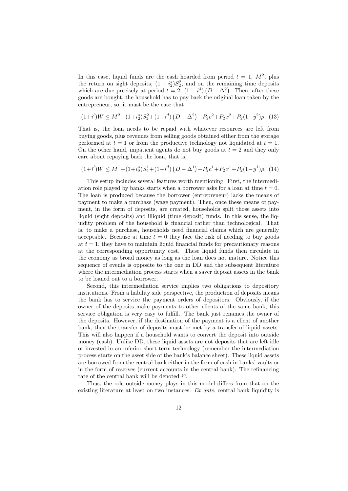In this case, liquid funds are the cash hoarded from period  $t = 1, M^2$ , plus the return on sight deposits,  $(1 + i<sub>2</sub><sup>s</sup>)S<sub>2</sub><sup>2</sup>$ , and on the remaining time deposits which are due precisely at period  $t = 2$ ,  $(1 + i^d) (D - \Delta^2)$ . Then, after these goods are bought, the household has to pay back the original loan taken by the entrepreneur, so, it must be the case that

$$
(1+i^l)W \le M^2 + (1+i_2^s)S_2^2 + (1+i^d) (D - \Delta^2) - P_2c^2 + P_2x^2 + P_2(1-y^2)\rho.
$$
 (13)

That is, the loan needs to be repaid with whatever resources are left from buying goods, plus revenues from selling goods obtained either from the storage performed at  $t = 1$  or from the productive technology not liquidated at  $t = 1$ . On the other hand, impatient agents do not buy goods at  $t = 2$  and they only care about repaying back the loan, that is,

$$
(1+i^l)W \le M^1 + (1+i_2^s)S_2^1 + (1+i^d) (D - \Delta^1) - P_2c^1 + P_2x^1 + P_2(1-y^1)\rho.
$$
 (14)

This setup includes several features worth mentioning. First, the intermediation role played by banks starts when a borrower asks for a loan at time  $t = 0$ . The loan is produced because the borrower (entrepreneur) lacks the means of payment to make a purchase (wage payment). Then, once these means of payment, in the form of deposits, are created, households split those assets into liquid (sight deposits) and illiquid (time deposit) funds. In this sense, the liquidity problem of the household is financial rather than technological. That is, to make a purchase, households need financial claims which are generally acceptable. Because at time  $t = 0$  they face the risk of needing to buy goods at  $t = 1$ , they have to maintain liquid financial funds for precautionary reasons at the corresponding opportunity cost. These liquid funds then circulate in the economy as broad money as long as the loan does not mature. Notice this sequence of events is opposite to the one in DD and the subsequent literature where the intermediation process starts when a saver deposit assets in the bank to be loaned out to a borrower.

Second, this intermediation service implies two obligations to depository institutions. From a liability side perspective, the production of deposits means the bank has to service the payment orders of depositors. Obviously, if the owner of the deposits make payments to other clients of the same bank, this service obligation is very easy to fulfill. The bank just renames the owner of the deposits. However, if the destination of the payment is a client of another bank, then the transfer of deposits must be met by a transfer of liquid assets. This will also happen if a household wants to convert the deposit into outside money (cash). Unlike DD, these liquid assets are not deposits that are left idle or invested in an inferior short term technology (remember the intermediation process starts on the asset side of the bank's balance sheet). These liquid assets are borrowed from the central bank either in the form of cash in banks' vaults or in the form of reserves (current accounts in the central bank). The refinancing rate of the central bank will be denoted  $i^o$ .

Thus, the role outside money plays in this model differs from that on the existing literature at least on two instances. Ex ante, central bank liquidity is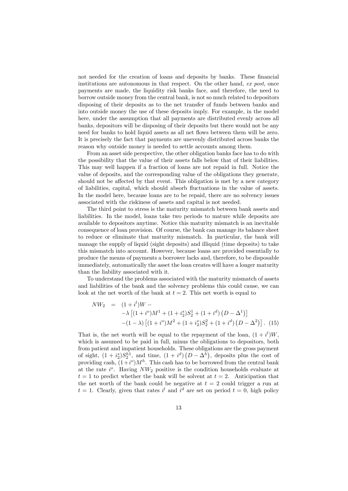not needed for the creation of loans and deposits by banks. These financial institutions are autonomous in that respect. On the other hand, ex post, once payments are made, the liquidity risk banks face, and therefore, the need to borrow outside money from the central bank, is not so much related to depositors disposing of their deposits as to the net transfer of funds between banks and into outside money the use of these deposits imply. For example, in the model here, under the assumption that all payments are distributed evenly across all banks, depositors will be disposing of their deposits but there would not be any need for banks to hold liquid assets as all net flows between them will be zero. It is precisely the fact that payments are unevenly distributed across banks the reason why outside money is needed to settle accounts among them.

From an asset side perspective, the other obligation banks face has to do with the possibility that the value of their assets falls below that of their liabilities. This may well happen if a fraction of loans are not repaid in full. Notice the value of deposits, and the corresponding value of the obligations they generate, should not be affected by that event. This obligation is met by a new category of liabilities, capital, which should absorb fluctuations in the value of assets. In the model here, because loans are to be repaid, there are no solvency issues associated with the riskiness of assets and capital is not needed.

The third point to stress is the maturity mismatch between bank assets and liabilities. In the model, loans take two periods to mature while deposits are available to depositors anytime. Notice this maturity mismatch is an inevitable consequence of loan provision. Of course, the bank can manage its balance sheet to reduce or eliminate that maturity mismatch. In particular, the bank will manage the supply of liquid (sight deposits) and illiquid (time deposits) to take this mismatch into account. However, because loans are provided essentially to produce the means of payments a borrower lacks and, therefore, to be disposable immediately, automatically the asset the loan creates will have a longer maturity than the liability associated with it.

To understand the problems associated with the maturity mismatch of assets and liabilities of the bank and the solvency problems this could cause, we can look at the net worth of the bank at  $t = 2$ . This net worth is equal to

$$
NW_2 = (1 + il)W -
$$
  
\n
$$
- \lambda [(1 + io)M1 + (1 + is⁄2)S21 + (1 + id) (D – \Delta1)]
$$
  
\n
$$
-(1 - \lambda) [(1 + io)M2 + (1 + is⁄2)S22 + (1 + id) (D – \Delta2)]. (15)
$$

That is, the net worth will be equal to the repayment of the loan,  $(1 + i^{l})W$ , which is assumed to be paid in full, minus the obligations to depositors, both from patient and impatient households. These obligations are the gross payment of sight,  $(1 + i_2^s)S_2^{h_1}$ , and time,  $(1 + i^d) (D - \Delta^h)$ , deposits plus the cost of providing cash,  $(1+i^o)M^h$ . This cash has to be borrowed from the central bank at the rate  $i^o$ . Having  $NW_2$  positive is the condition households evaluate at  $t = 1$  to predict whether the bank will be solvent at  $t = 2$ . Anticipation that the net worth of the bank could be negative at  $t = 2$  could trigger a run at  $t = 1$ . Clearly, given that rates  $i^{l}$  and  $i^{d}$  are set on period  $t = 0$ , high policy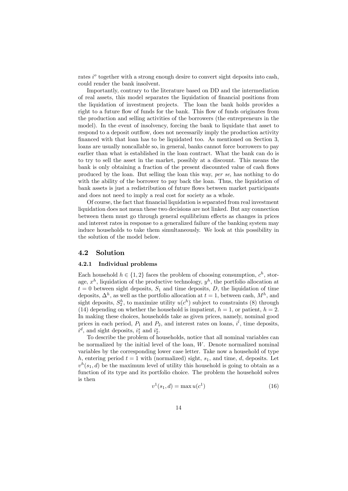rates  $i^o$  together with a strong enough desire to convert sight deposits into cash, could render the bank insolvent.

Importantly, contrary to the literature based on DD and the intermediation of real assets, this model separates the liquidation of financial positions from the liquidation of investment projects. The loan the bank holds provides a right to a future flow of funds for the bank. This flow of funds originates from the production and selling activities of the borrowers (the entrepreneurs in the model). In the event of insolvency, forcing the bank to liquidate that asset to respond to a deposit outflow, does not necessarily imply the production activity financed with that loan has to be liquidated too. As mentioned on Section 3, loans are usually noncallable so, in general, banks cannot force borrowers to pay earlier than what is established in the loan contract. What the bank can do is to try to sell the asset in the market, possibly at a discount. This means the bank is only obtaining a fraction of the present discounted value of cash flows produced by the loan. But selling the loan this way, per se, has nothing to do with the ability of the borrower to pay back the loan. Thus, the liquidation of bank assets is just a redistribution of future flows between market participants and does not need to imply a real cost for society as a whole.

Of course, the fact that financial liquidation is separated from real investment liquidation does not mean these two decisions are not linked. But any connection between them must go through general equilibrium effects as changes in prices and interest rates in response to a generalized failure of the banking system may induce households to take them simultaneously. We look at this possibility in the solution of the model below.

#### 4.2 Solution

#### 4.2.1 Individual problems

Each household  $h \in \{1, 2\}$  faces the problem of choosing consumption,  $c^h$ , storage,  $x^h$ , liquidation of the productive technology,  $y^h$ , the portfolio allocation at  $t = 0$  between sight deposits,  $S_1$  and time deposits, D, the liquidation of time deposits,  $\Delta^h$ , as well as the portfolio allocation at  $t = 1$ , between cash,  $M^h$ , and sight deposits,  $S_2^h$ , to maximize utility  $u(c^h)$  subject to constraints (8) through (14) depending on whether the household is impatient,  $h = 1$ , or patient,  $h = 2$ . In making these choices, households take as given prices, namely, nominal good prices in each period,  $P_1$  and  $P_2$ , and interest rates on loans,  $i^l$ , time deposits,  $i^d$ , and sight deposits,  $i_1^s$  and  $i_2^s$ .

To describe the problem of households, notice that all nominal variables can be normalized by the initial level of the loan,  $W$ . Denote normalized nominal variables by the corresponding lower case letter. Take now a household of type h, entering period  $t = 1$  with (normalized) sight,  $s_1$ , and time, d, deposits. Let  $v^h(s_1, d)$  be the maximum level of utility this household is going to obtain as a function of its type and its portfolio choice. The problem the household solves is then

$$
v^{1}(s_{1}, d) = \max u(c^{1})
$$
\n(16)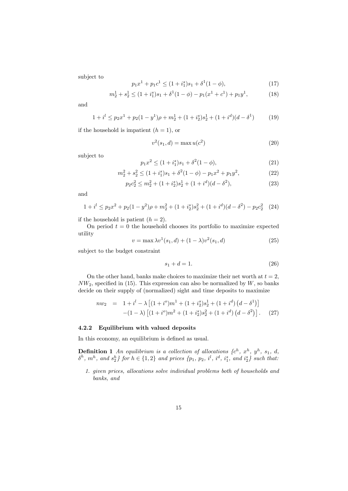subject to

$$
p_1 x^1 + p_1 c^1 \le (1 + i_1^s) s_1 + \delta^1 (1 - \phi), \tag{17}
$$

$$
m_2^1 + s_2^1 \le (1 + i_1^s)s_1 + \delta^1(1 - \phi) - p_1(x^1 + c^1) + p_1y^1,\tag{18}
$$

and

$$
1 + il \le p_2 x^1 + p_2 (1 - y^1) \rho + m_2^1 + (1 + i_2^s) s_2^1 + (1 + i^d) (d - \delta^1)
$$
 (19)

if the household is impatient  $(h = 1)$ , or

$$
v^2(s_1, d) = \max u(c^2)
$$
 (20)

subject to

$$
p_1 x^2 \le (1 + i_1^s)s_1 + \delta^2 (1 - \phi),\tag{21}
$$

$$
m_2^2 + s_2^2 \le (1 + i_1^s)s_1 + \delta^2(1 - \phi) - p_1x^2 + p_1y^2,
$$
\n(22)

$$
p_2c_2^2 \le m_2^2 + (1+i_2^s)s_2^1 + (1+i^d)(d-\delta^2),\tag{23}
$$

and

$$
1 + il \le p_2 x^2 + p_2 (1 - y^2)\rho + m_2^2 + (1 + i_2^2)s_2^2 + (1 + i^d)(d - \delta^2) - p_2 c_2^2
$$
 (24)

if the household is patient  $(h = 2)$ .

On period  $t = 0$  the household chooses its portfolio to maximize expected utility

$$
v = \max \lambda v^{1}(s_{1}, d) + (1 - \lambda)v^{2}(s_{1}, d)
$$
\n(25)

subject to the budget constraint

$$
s_1 + d = 1.\t\t(26)
$$

On the other hand, banks make choices to maximize their net worth at  $t = 2$ ,  $NW_2$ , specified in (15). This expression can also be normalized by  $W$ , so banks decide on their supply of (normalized) sight and time deposits to maximize

$$
nw_2 = 1 + il - \lambda \left[ (1 + io)m1 + (1 + is)s21 + (1 + id) (d - \delta1) \right]
$$
  
-(1 - \lambda) [(1 + i<sup>o</sup>)m<sup>2</sup> + (1 + i<sup>s</sup>)s<sub>2</sub><sup>2</sup> + (1 + i<sup>d</sup>) (d - \delta<sup>2</sup>)] (27)

#### 4.2.2 Equilibrium with valued deposits

In this economy, an equilibrium is defined as usual.

**Definition 1** An equilibrium is a collection of allocations  $\{c^h, x^h, y^h, s_1, d,$  $\delta^h$ ,  $m^h$ , and  $s_2^h$  for  $h \in \{1, 2\}$  and prices  $\{p_1, p_2, i^l, i^d, i_1^s, \text{ and } i_2^s\}$  such that:

1. given prices, allocations solve individual problems both of households and banks, and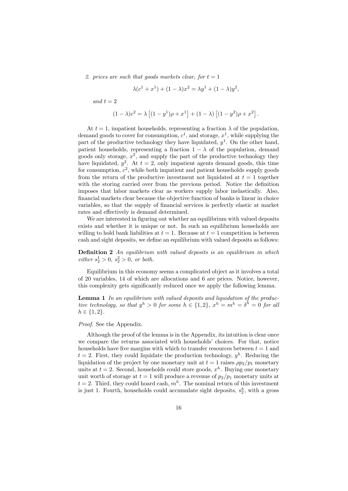2. prices are such that goods markets clear, for  $t = 1$ 

$$
\lambda(c^{1} + x^{1}) + (1 - \lambda)x^{2} = \lambda y^{1} + (1 - \lambda)y^{2},
$$

and  $t=2$ 

$$
(1 - \lambda)c^{2} = \lambda [(1 - y^{1})\rho + x^{1}] + (1 - \lambda) [(1 - y^{2})\rho + x^{2}].
$$

At  $t = 1$ , impatient households, representing a fraction  $\lambda$  of the population, demand goods to cover for consumption,  $c^1$ , and storage,  $x^1$ , while supplying the part of the productive technology they have liquidated,  $y^1$ . On the other hand, patient households, representing a fraction  $1 - \lambda$  of the population, demand goods only storage,  $x^2$ , and supply the part of the productive technology they have liquidated,  $y^2$ . At  $t = 2$ , only impatient agents demand goods, this time for consumption,  $c^2$ , while both impatient and patient households supply goods from the return of the productive investment not liquidated at  $t = 1$  together with the storing carried over from the previous period. Notice the definition imposes that labor markets clear as workers supply labor inelastically. Also, financial markets clear because the objective function of banks is linear in choice variables, so that the supply of financial services is perfectly elastic at market rates and effectively is demand determined.

We are interested in figuring out whether an equilibrium with valued deposits exists and whether it is unique or not. In such an equilibrium households are willing to hold bank liabilities at  $t = 1$ . Because at  $t = 1$  competition is between cash and sight deposits, we define an equilibrium with valued deposits as follows:

**Definition 2** An equilibrium with valued deposits is an equilibrium in which  $either \; s_2^1 > 0, \; s_2^2 > 0, \; or \; both.$ 

Equilibrium in this economy seems a complicated object as it involves a total of 20 variables, 14 of which are allocations and 6 are prices. Notice, however, this complexity gets significantly reduced once we apply the following lemma.

Lemma 1 In an equilibrium with valued deposits and liquidation of the productive technology, so that  $y^h > 0$  for some  $h \in \{1,2\}$ ,  $x^h = m^h = \delta^{\overline{h}} = 0$  for all  $h \in \{1, 2\}.$ 

Proof. See the Appendix.

Although the proof of the lemma is in the Appendix, its intuition is clear once we compare the returns associated with households' choices. For that, notice households have five margins with which to transfer resources between  $t = 1$  and  $t = 2$ . First, they could liquidate the production technology,  $y<sup>h</sup>$ . Reducing the liquidation of the project by one monetary unit at  $t = 1$  raises  $\rho p_2 / p_1$  monetary units at  $t = 2$ . Second, households could store goods,  $x<sup>h</sup>$ . Buying one monetary unit worth of storage at  $t = 1$  will produce a revenue of  $p_2/p_1$  monetary units at  $t = 2$ . Third, they could hoard cash,  $m<sup>h</sup>$ . The nominal return of this investment is just 1. Fourth, households could accumulate sight deposits,  $s_2^h$ , with a gross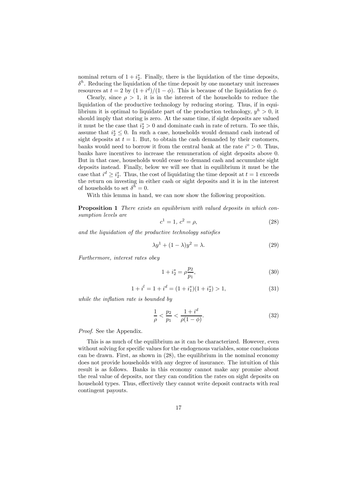nominal return of  $1 + i_2^s$ . Finally, there is the liquidation of the time deposits,  $\delta^h$ . Reducing the liquidation of the time deposit by one monetary unit increases resources at  $t = 2$  by  $(1 + i^d)/(1 - \phi)$ . This is because of the liquidation fee  $\phi$ .

Clearly, since  $\rho > 1$ , it is in the interest of the households to reduce the liquidation of the productive technology by reducing storing. Thus, if in equilibrium it is optimal to liquidate part of the production technology,  $y^h > 0$ , it should imply that storing is zero. At the same time, if sight deposits are valued it must be the case that  $i_2^s > 0$  and dominate cash in rate of return. To see this, assume that  $i_2^s \leq 0$ . In such a case, households would demand cash instead of sight deposits at  $t = 1$ . But, to obtain the cash demanded by their customers, banks would need to borrow it from the central bank at the rate  $i^{\circ} > 0$ . Thus, banks have incentives to increase the remuneration of sight deposits above 0. But in that case, households would cease to demand cash and accumulate sight deposits instead. Finally, below we will see that in equilibrium it must be the case that  $i^d \geq i_2^s$ . Thus, the cost of liquidating the time deposit at  $t = 1$  exceeds the return on investing in either cash or sight deposits and it is in the interest of households to set  $\delta^{\tilde{h}} = 0$ .

With this lemma in hand, we can now show the following proposition.

**Proposition 1** There exists an equilibrium with valued deposits in which consumption levels are

$$
c^1 = 1, \ c^2 = \rho,\tag{28}
$$

and the liquidation of the productive technology satisfies

$$
\lambda y^1 + (1 - \lambda)y^2 = \lambda. \tag{29}
$$

Furthermore, interest rates obey

$$
1 + i_2^s = \rho \frac{p_2}{p_1},\tag{30}
$$

$$
1 + il = 1 + id = (1 + i1s)(1 + i2s) > 1,
$$
\n(31)

while the inflation rate is bounded by

$$
\frac{1}{\rho} < \frac{p_2}{p_1} < \frac{1 + i^d}{\rho(1 - \phi)}.\tag{32}
$$

Proof. See the Appendix.

This is as much of the equilibrium as it can be characterized. However, even without solving for specific values for the endogenous variables, some conclusions can be drawn. First, as shown in (28), the equilibrium in the nominal economy does not provide households with any degree of insurance. The intuition of this result is as follows. Banks in this economy cannot make any promise about the real value of deposits, nor they can condition the rates on sight deposits on household types. Thus, effectively they cannot write deposit contracts with real contingent payouts.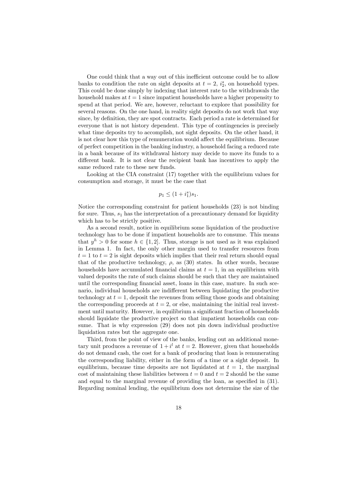One could think that a way out of this inefficient outcome could be to allow banks to condition the rate on sight deposits at  $t = 2$ ,  $i_2^s$ , on household types. This could be done simply by indexing that interest rate to the withdrawals the household makes at  $t = 1$  since impatient households have a higher propensity to spend at that period. We are, however, reluctant to explore that possibility for several reasons. On the one hand, in reality sight deposits do not work that way since, by definition, they are spot contracts. Each period a rate is determined for everyone that is not history dependent. This type of contingencies is precisely what time deposits try to accomplish, not sight deposits. On the other hand, it is not clear how this type of remuneration would affect the equilibrium. Because of perfect competition in the banking industry, a household facing a reduced rate in a bank because of its withdrawal history may decide to move its funds to a different bank. It is not clear the recipient bank has incentives to apply the same reduced rate to these new funds.

Looking at the CIA constraint (17) together with the equilibrium values for consumption and storage, it must be the case that

$$
p_1 \le (1 + i_1^s)s_1.
$$

Notice the corresponding constraint for patient households (23) is not binding for sure. Thus,  $s_1$  has the interpretation of a precautionary demand for liquidity which has to be strictly positive.

As a second result, notice in equilibrium some liquidation of the productive technology has to be done if impatient households are to consume. This means that  $y^h > 0$  for some  $h \in \{1, 2\}$ . Thus, storage is not used as it was explained in Lemma 1. In fact, the only other margin used to transfer resources from  $t = 1$  to  $t = 2$  is sight deposits which implies that their real return should equal that of the productive technology,  $\rho$ , as (30) states. In other words, because households have accumulated financial claims at  $t = 1$ , in an equilibrium with valued deposits the rate of such claims should be such that they are maintained until the corresponding financial asset, loans in this case, mature. In such scenario, individual households are indifferent between liquidating the productive technology at  $t = 1$ , deposit the revenues from selling those goods and obtaining the corresponding proceeds at  $t = 2$ , or else, maintaining the initial real investment until maturity. However, in equilibrium a significant fraction of households should liquidate the productive project so that impatient households can consume. That is why expression (29) does not pin down individual productive liquidation rates but the aggregate one.

Third, from the point of view of the banks, lending out an additional monetary unit produces a revenue of  $1 + i^l$  at  $t = 2$ . However, given that households do not demand cash, the cost for a bank of producing that loan is remunerating the corresponding liability, either in the form of a time or a sight deposit. In equilibrium, because time deposits are not liquidated at  $t = 1$ , the marginal cost of maintaining these liabilities between  $t = 0$  and  $t = 2$  should be the same and equal to the marginal revenue of providing the loan, as specified in (31). Regarding nominal lending, the equilibrium does not determine the size of the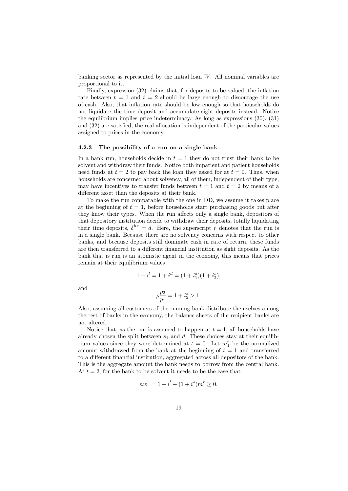banking sector as represented by the initial loan  $W$ . All nominal variables are proportional to it.

Finally, expression (32) claims that, for deposits to be valued, the inflation rate between  $t = 1$  and  $t = 2$  should be large enough to discourage the use of cash. Also, that inflation rate should be low enough so that households do not liquidate the time deposit and accumulate sight deposits instead. Notice the equilibrium implies price indeterminacy. As long as expressions (30), (31) and (32) are satisfied, the real allocation is independent of the particular values assigned to prices in the economy.

#### 4.2.3 The possibility of a run on a single bank

In a bank run, households decide in  $t = 1$  they do not trust their bank to be solvent and withdraw their funds. Notice both impatient and patient households need funds at  $t = 2$  to pay back the loan they asked for at  $t = 0$ . Thus, when households are concerned about solvency, all of them, independent of their type, may have incentives to transfer funds between  $t = 1$  and  $t = 2$  by means of a different asset than the deposits at their bank.

To make the run comparable with the one in DD, we assume it takes place at the beginning of  $t = 1$ , before households start purchasing goods but after they know their types. When the run affects only a single bank, depositors of that depository institution decide to withdraw their deposits, totally liquidating their time deposits,  $\delta^{hr} = d$ . Here, the superscript r denotes that the run is in a single bank. Because there are no solvency concerns with respect to other banks, and because deposits still dominate cash in rate of return, these funds are then transferred to a different financial institution as sight deposits. As the bank that is run is an atomistic agent in the economy, this means that prices remain at their equilibrium values

$$
1 + il = 1 + id = (1 + i1s)(1 + i2s),
$$

and

$$
\rho \frac{p_2}{p_1} = 1 + i_2^s > 1.
$$

Also, assuming all customers of the running bank distribute themselves among the rest of banks in the economy, the balance sheets of the recipient banks are not altered.

Notice that, as the run is assumed to happen at  $t = 1$ , all households have already chosen the split between  $s_1$  and d. These choices stay at their equilibrium values since they were determined at  $t = 0$ . Let  $m_1^r$  be the normalized amount withdrawed from the bank at the beginning of  $t = 1$  and transferred to a different financial institution, aggregated across all depositors of the bank. This is the aggregate amount the bank needs to borrow from the central bank. At  $t = 2$ , for the bank to be solvent it needs to be the case that

$$
nw^r = 1 + i^l - (1 + i^o)m_1^r \ge 0.
$$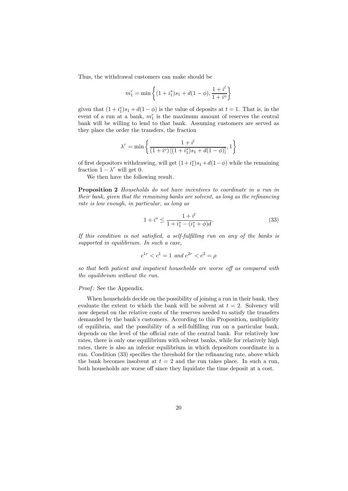Thus, the withdrawal customers can make should be

$$
m_1^r = \min\left\{ (1+i_1^s)s_1 + d(1-\phi), \frac{1+i^l}{1+i^o} \right\}
$$

given that  $(1 + i_1^s)s_1 + d(1 - \phi)$  is the value of deposits at  $t = 1$ . That is, in the event of a run at a bank,  $m_1^r$  is the maximum amount of reserves the central bank will be willing to lend to that bank. Assuming customers are served as they place the order the transfers, the fraction

$$
\lambda^{r} = \min \left\{ \frac{1 + i^{l}}{(1 + i^{o}) \left[ (1 + i^{s}_{1})s_{1} + d(1 - \phi) \right]}, 1 \right\}
$$

of first depositors withdrawing, will get  $(1+i_1^s)s_1+d(1-\phi)$  while the remaining fraction  $1 - \lambda^r$  will get 0.

We then have the following result.

Proposition 2 Households do not have incentives to coordinate in a run in their bank, given that the remaining banks are solvent, as long as the refinancing rate is low enough, in particular, as long as

$$
1 + i^o \le \frac{1 + i^l}{1 + i^s_1 - (i^s_1 + \phi)d}.\tag{33}
$$

If this condition is not satisfied, a self-fulfilling run on any of the banks is supported in equilibrium. In such a case,

$$
c^{1r} < c^1 = 1
$$
 and  $c^{2r} < c^2 = \rho$ 

so that both patient and impatient households are worse off as compared with the equilibrium without the run.

#### Proof: See the Appendix.

When households decide on the possibility of joining a run in their bank, they evaluate the extent to which the bank will be solvent at  $t = 2$ . Solvency will now depend on the relative costs of the reserves needed to satisfy the transfers demanded by the bank's customers. According to this Proposition, multiplicity of equilibria, and the possibility of a self-fulfilling run on a particular bank, depends on the level of the official rate of the central bank. For relatively low rates, there is only one equilibrium with solvent banks, while for relatively high rates, there is also an inferior equilibrium in which depositors coordinate in a run. Condition (33) specifies the threshold for the refinancing rate, above which the bank becomes insolvent at  $t = 2$  and the run takes place. In such a run, both households are worse off since they liquidate the time deposit at a cost.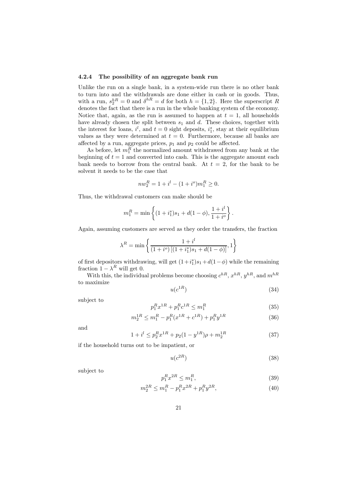#### 4.2.4 The possibility of an aggregate bank run

Unlike the run on a single bank, in a system-wide run there is no other bank to turn into and the withdrawals are done either in cash or in goods. Thus, with a run,  $s_2^{hR} = 0$  and  $\delta^{hR} = d$  for both  $h = \{1, 2\}$ . Here the superscript R denotes the fact that there is a run in the whole banking system of the economy. Notice that, again, as the run is assumed to happen at  $t = 1$ , all households have already chosen the split between  $s_1$  and d. These choices, together with the interest for loans,  $i^l$ , and  $t = 0$  sight deposits,  $i_1^s$ , stay at their equilibrium values as they were determined at  $t = 0$ . Furthermore, because all banks are affected by a run, aggregate prices,  $p_1$  and  $p_2$  could be affected.

As before, let  $\boldsymbol{m}_1^R$  the normalized amount withdrawed from any bank at the beginning of  $t = 1$  and converted into cash. This is the aggregate amount each bank needs to borrow from the central bank. At  $t = 2$ , for the bank to be solvent it needs to be the case that

$$
nw_2^R = 1 + i^l - (1 + i^o)m_1^R \ge 0.
$$

Thus, the withdrawal customers can make should be

$$
m_1^R = \min\left\{ (1 + i_1^s)s_1 + d(1 - \phi), \frac{1 + i^l}{1 + i^o} \right\}.
$$

Again, assuming customers are served as they order the transfers, the fraction

$$
\lambda^{R} = \min \left\{ \frac{1 + i^{l}}{(1 + i^{o}) \left[ (1 + i^{s}_{1})s_{1} + d(1 - \phi) \right]}, 1 \right\}
$$

of first depositors withdrawing, will get  $(1+i_1^s)s_1+d(1-\phi)$  while the remaining fraction  $1 - \lambda^R$  will get 0.

With this, the individual problems become choosing  $c^{hR}$ ,  $x^{hR}$ ,  $y^{hR}$ , and  $m^{hR}$ to maximize

$$
u(c^{1R})\tag{34}
$$

subject to

$$
p_1^R x^{1R} + p_1^R c^{1R} \le m_1^R \tag{35}
$$

$$
m_2^{1R} \le m_1^R - p_1^R (x^{1R} + c^{1R}) + p_1^R y^{1R}
$$
\n(36)

and

$$
1 + il \le p_2R x1R + p_2(1 - y1R)\rho + m_21R
$$
 (37)

if the household turns out to be impatient, or

$$
u(c^{2R})\tag{38}
$$

subject to

$$
p_1^R x^{2R} \le m_1^R,\tag{39}
$$

$$
m_2^{2R} \le m_1^R - p_1^R x^{2R} + p_1^R y^{2R},\tag{40}
$$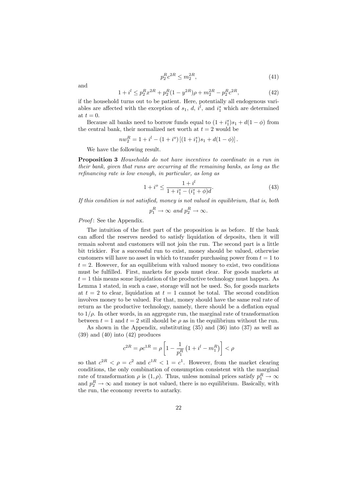$$
p_2^R c^{2R} \le m_2^{2R},\tag{41}
$$

and

$$
1 + il \le p_2R x2R + p_2R (1 - y2R)\rho + m_22R - p_2R c2R,
$$
 (42)

if the household turns out to be patient. Here, potentially all endogenous variables are affected with the exception of  $s_1, d, i^l$ , and  $i_1^s$  which are determined at  $t=0$ .

Because all banks need to borrow funds equal to  $(1 + i_1^s)s_1 + d(1 - \phi)$  from the central bank, their normalized net worth at  $t = 2$  would be

$$
nw_2^R = 1 + i^l - (1 + i^o) [(1 + i_1^s)s_1 + d(1 - \phi)].
$$

We have the following result.

Proposition 3 Households do not have incentives to coordinate in a run in their bank, given that runs are occurring at the remaining banks, as long as the refinancing rate is low enough, in particular, as long as

$$
1 + i^o \le \frac{1 + i^l}{1 + i^s_1 - (i^s_1 + \phi)d}.\tag{43}
$$

If this condition is not satisfied, money is not valued in equilibrium, that is, both

$$
p_1^R \to \infty
$$
 and  $p_2^R \to \infty$ .

Proof: See the Appendix.

The intuition of the first part of the proposition is as before. If the bank can afford the reserves needed to satisfy liquidation of deposits, then it will remain solvent and customers will not join the run. The second part is a little bit trickier. For a successful run to exist, money should be valued, otherwise customers will have no asset in which to transfer purchasing power from  $t = 1$  to  $t = 2$ . However, for an equilibrium with valued money to exist, two conditions must be fulfilled. First, markets for goods must clear. For goods markets at  $t = 1$  this means some liquidation of the productive technology must happen. As Lemma 1 stated, in such a case, storage will not be used. So, for goods markets at  $t = 2$  to clear, liquidation at  $t = 1$  cannot be total. The second condition involves money to be valued. For that, money should have the same real rate of return as the productive technology, namely, there should be a deflation equal to  $1/\rho$ . In other words, in an aggregate run, the marginal rate of transformation between  $t = 1$  and  $t = 2$  still should be  $\rho$  as in the equilibrium without the run.

As shown in the Appendix, substituting (35) and (36) into (37) as well as (39) and (40) into (42) produces

$$
c^{2R} = \rho c^{1R} = \rho \left[ 1 - \frac{1}{p_1^R} \left( 1 + i^l - m_1^R \right) \right] < \rho
$$

so that  $c^{2R} < \rho = c^2$  and  $c^{1R} < 1 = c^1$ . However, from the market clearing conditions, the only combination of consumption consistent with the marginal rate of transformation  $\rho$  is  $(1, \rho)$ . Thus, unless nominal prices satisfy  $p_1^R \to \infty$ and  $p_2^R \to \infty$  and money is not valued, there is no equilibrium. Basically, with the run, the economy reverts to autarky.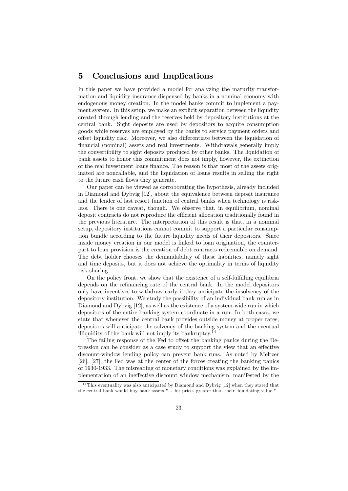## 5 Conclusions and Implications

In this paper we have provided a model for analyzing the maturity transformation and liquidity insurance dispensed by banks in a nominal economy with endogenous money creation. In the model banks commit to implement a payment system. In this setup, we make an explicit separation between the liquidity created through lending and the reserves held by depository institutions at the central bank. Sight deposits are used by depositors to acquire consumption goods while reserves are employed by the banks to service payment orders and offset liquidity risk. Moreover, we also differentiate between the liquidation of financial (nominal) assets and real investments. Withdrawals generally imply the convertibility to sight deposits produced by other banks. The liquidation of bank assets to honor this commitment does not imply, however, the extinction of the real investment loans finance. The reason is that most of the assets originated are noncallable, and the liquidation of loans results in selling the right to the future cash flows they generate.

Our paper can be viewed as corroborating the hypothesis, already included in Diamond and Dybvig [12], about the equivalence between deposit insurance and the lender of last resort function of central banks when technology is riskless. There is one caveat, though. We observe that, in equilibrium, nominal deposit contracts do not reproduce the efficient allocation traditionally found in the previous literature. The interpretation of this result is that, in a nominal setup, depository institutions cannot commit to support a particular consumption bundle according to the future liquidity needs of their depositors. Since inside money creation in our model is linked to loan origination, the counterpart to loan provision is the creation of debt contracts redeemable on demand. The debt holder chooses the demandability of these liabilities, namely sight and time deposits, but it does not achieve the optimality in terms of liquidity risk-sharing.

On the policy front, we show that the existence of a self-fulfilling equilibria depends on the refinancing rate of the central bank. In the model depositors only have incentives to withdraw early if they anticipate the insolvency of the depository institution. We study the possibility of an individual bank run as in Diamond and Dybvig [12], as well as the existence of a system-wide run in which depositors of the entire banking system coordinate in a run. In both cases, we state that whenever the central bank provides outside money at proper rates, depositors will anticipate the solvency of the banking system and the eventual illiquidity of the bank will not imply its bankruptcy.<sup>14</sup>

The failing response of the Fed to offset the banking panics during the Depression can be consider as a case study to support the view that an effective discount-window lending policy can prevent bank runs. As noted by Meltzer [26], [27], the Fed was at the center of the forces creating the banking panics of 1930-1933. The misreading of monetary conditions was explained by the implementation of an ineffective discount window mechanism, manifested by the

<sup>&</sup>lt;sup>14</sup>This eventuality was also anticipated by Diamond and Dybvig [12] when they stated that the central bank would buy bank assets "... for prices greater than their liquidating value."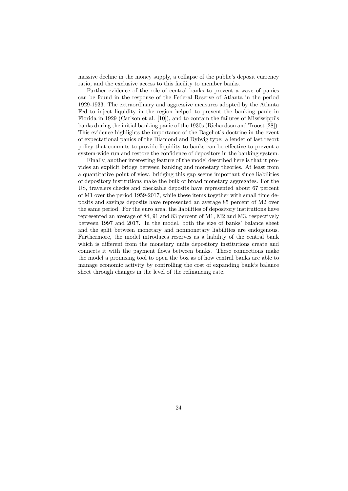massive decline in the money supply, a collapse of the public's deposit currency ratio, and the exclusive access to this facility to member banks.

Further evidence of the role of central banks to prevent a wave of panics can be found in the response of the Federal Reserve of Atlanta in the period 1929-1933. The extraordinary and aggressive measures adopted by the Atlanta Fed to inject liquidity in the region helped to prevent the banking panic in Florida in 1929 (Carlson et al. [10]), and to contain the failures of Mississippi's banks during the initial banking panic of the 1930s (Richardson and Troost [28]). This evidence highlights the importance of the Bagehot's doctrine in the event of expectational panics of the Diamond and Dybvig type: a lender of last resort policy that commits to provide liquidity to banks can be effective to prevent a system-wide run and restore the confidence of depositors in the banking system.

Finally, another interesting feature of the model described here is that it provides an explicit bridge between banking and monetary theories. At least from a quantitative point of view, bridging this gap seems important since liabilities of depository institutions make the bulk of broad monetary aggregates. For the US, travelers checks and checkable deposits have represented about 67 percent of M1 over the period 1959-2017, while these items together with small time deposits and savings deposits have represented an average 85 percent of M2 over the same period. For the euro area, the liabilities of depository institutions have represented an average of 84, 91 and 83 percent of M1, M2 and M3, respectively between 1997 and 2017. In the model, both the size of banks' balance sheet and the split between monetary and nonmonetary liabilities are endogenous. Furthermore, the model introduces reserves as a liability of the central bank which is different from the monetary units depository institutions create and connects it with the payment flows between banks. These connections make the model a promising tool to open the box as of how central banks are able to manage economic activity by controlling the cost of expanding bank's balance sheet through changes in the level of the refinancing rate.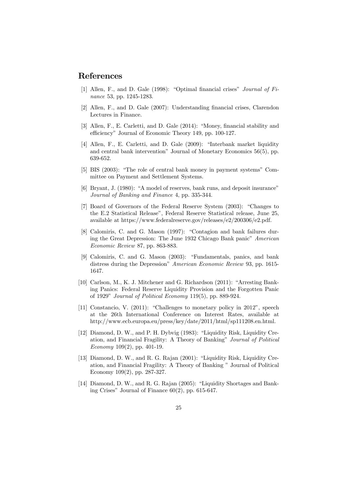## References

- [1] Allen, F., and D. Gale (1998): "Optimal financial crises" Journal of Finance 53, pp. 1245-1283.
- [2] Allen, F., and D. Gale (2007): Understanding financial crises, Clarendon Lectures in Finance.
- [3] Allen, F., E. Carletti, and D. Gale (2014): "Money, financial stability and efficiency" Journal of Economic Theory 149, pp. 100-127.
- [4] Allen, F., E. Carletti, and D. Gale (2009): "Interbank market liquidity and central bank intervention" Journal of Monetary Economics 56(5), pp. 639-652.
- [5] BIS (2003): "The role of central bank money in payment systems" Committee on Payment and Settlement Systems.
- [6] Bryant, J. (1980): "A model of reserves, bank runs, and deposit insurance" Journal of Banking and Finance 4, pp. 335-344.
- [7] Board of Governors of the Federal Reserve System (2003): "Changes to the E.2 Statistical Release", Federal Reserve Statistical release, June 25, available at https://www.federalreserve.gov/releases/e2/200306/e2.pdf.
- [8] Calomiris, C. and G. Mason (1997): "Contagion and bank failures during the Great Depression: The June 1932 Chicago Bank panic" American Economic Review 87, pp. 863-883.
- [9] Calomiris, C. and G. Mason (2003): "Fundamentals, panics, and bank distress during the Depression" American Economic Review 93, pp. 1615- 1647.
- [10] Carlson, M., K. J. Mitchener and G. Richardson (2011): "Arresting Banking Panics: Federal Reserve Liquidity Provision and the Forgotten Panic of 1929" Journal of Political Economy 119(5), pp. 889-924.
- [11] Constancio, V. (2011): "Challenges to monetary policy in 2012", speech at the 26th International Conference on Interest Rates, available at http://www.ecb.europa.eu/press/key/date/2011/html/sp111208.en.html.
- [12] Diamond, D. W., and P. H. Dybvig (1983): "Liquidity Risk, Liquidity Creation, and Financial Fragility: A Theory of Banking" Journal of Political Economy 109(2), pp. 401-19.
- [13] Diamond, D. W., and R. G. Rajan (2001): "Liquidity Risk, Liquidity Creation, and Financial Fragility: A Theory of Banking " Journal of Political Economy 109(2), pp. 287-327.
- [14] Diamond, D. W., and R. G. Rajan (2005): "Liquidity Shortages and Banking Crises" Journal of Finance 60(2), pp. 615-647.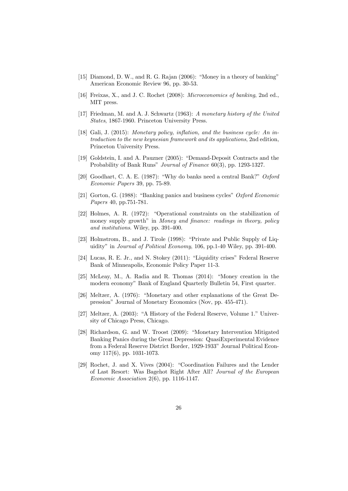- [15] Diamond, D. W., and R. G. Rajan (2006): "Money in a theory of banking" American Economic Review 96, pp. 30-53.
- [16] Freixas, X., and J. C. Rochet (2008): Microeconomics of banking, 2nd ed., MIT press.
- [17] Friedman, M. and A. J. Schwartz (1963): A monetary history of the United States, 1867-1960. Princeton University Press.
- [18] Gali, J. (2015): Monetary policy, inflation, and the business cycle: An introduction to the new keynesian framework and its applications, 2nd edition, Princeton University Press.
- [19] Goldstein, I. and A. Pauzner (2005): "Demand-Deposit Contracts and the Probability of Bank Runs" Journal of Finance 60(3), pp. 1293-1327.
- [20] Goodhart, C. A. E. (1987): "Why do banks need a central Bank?" Oxford Economic Papers 39, pp. 75-89.
- [21] Gorton, G. (1988): "Banking panics and business cycles" Oxford Economic Papers 40, pp.751-781.
- [22] Holmes, A. R. (1972): "Operational constraints on the stabilization of money supply growth" in Money and finance: readings in theory, policy and institutions. Wiley, pp. 391-400.
- [23] Holmstrom, B., and J. Tirole (1998): "Private and Public Supply of Liquidity" in *Journal of Political Economy*, 106, pp. 1-40 Wiley, pp. 391-400.
- [24] Lucas, R. E. Jr., and N. Stokey (2011): "Liquidity crises" Federal Reserve Bank of Minneapolis, Economic Policy Paper 11-3.
- [25] McLeay, M., A. Radia and R. Thomas (2014): "Money creation in the modern economy" Bank of England Quarterly Bulletin 54, First quarter.
- [26] Meltzer, A. (1976): "Monetary and other explanations of the Great Depression" Journal of Monetary Economics (Nov, pp. 455-471).
- [27] Meltzer, A. (2003): "A History of the Federal Reserve, Volume 1." University of Chicago Press, Chicago.
- [28] Richardson, G. and W. Troost (2009): "Monetary Intervention Mitigated Banking Panics during the Great Depression: QuasiExperimental Evidence from a Federal Reserve District Border, 1929-1933" Journal Political Economy 117(6), pp. 1031-1073.
- [29] Rochet, J. and X. Vives (2004): "Coordination Failures and the Lender of Last Resort: Was Bagehot Right After All? Journal of the European Economic Association 2(6), pp. 1116-1147.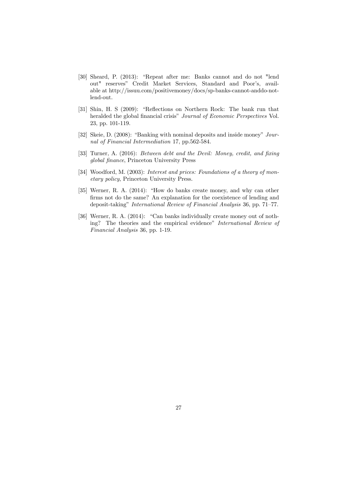- [30] Sheard, P. (2013): "Repeat after me: Banks cannot and do not "lend out" reserves" Credit Market Services, Standard and Poor's, available at http://issuu.com/positivemoney/docs/sp-banks-cannot-anddo-notlend-out.
- [31] Shin, H. S (2009): "Reflections on Northern Rock: The bank run that heralded the global financial crisis" Journal of Economic Perspectives Vol. 23, pp. 101-119.
- [32] Skeie, D. (2008): "Banking with nominal deposits and inside money" Journal of Financial Intermediation 17, pp.562-584.
- [33] Turner, A. (2016): Between debt and the Devil: Money, credit, and fixing global finance, Princeton University Press
- [34] Woodford, M. (2003): *Interest and prices: Foundations of a theory of mon*etary policy, Princeton University Press.
- [35] Werner, R. A. (2014): "How do banks create money, and why can other firms not do the same? An explanation for the coexistence of lending and deposit-taking" International Review of Financial Analysis 36, pp. 71—77.
- [36] Werner, R. A. (2014): "Can banks individually create money out of nothing? The theories and the empirical evidence" International Review of Financial Analysis 36, pp. 1-19.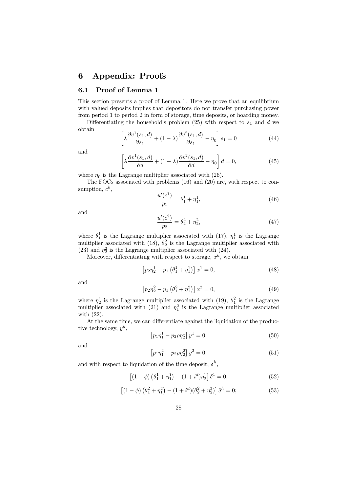## 6 Appendix: Proofs

#### 6.1 Proof of Lemma 1

This section presents a proof of Lemma 1. Here we prove that an equilibrium with valued deposits implies that depositors do not transfer purchasing power from period 1 to period 2 in form of storage, time deposits, or hoarding money.

Differentiating the household's problem  $(25)$  with respect to  $s_1$  and d we obtain

$$
\left[\lambda \frac{\partial v^1(s_1, d)}{\partial s_1} + (1 - \lambda) \frac{\partial v^2(s_1, d)}{\partial s_1} - \eta_0\right] s_1 = 0 \tag{44}
$$

and

$$
\left[\lambda \frac{\partial v^1(s_1, d)}{\partial d} + (1 - \lambda) \frac{\partial v^2(s_1, d)}{\partial d} - \eta_0\right] d = 0,\tag{45}
$$

where  $\eta_0$  is the Lagrange multiplier associated with (26).

The FOCs associated with problems (16) and (20) are, with respect to consumption,  $c^h$ ,

$$
\frac{u'(c^1)}{p_1} = \theta_1^1 + \eta_1^1,\tag{46}
$$

and

$$
\frac{u'(c^2)}{p_2} = \theta_2^2 + \eta_2^2,\tag{47}
$$

where  $\theta_1^1$  is the Lagrange multiplier associated with (17),  $\eta_1^1$  is the Lagrange multiplier associated with (18),  $\theta_2^2$  is the Lagrange multiplier associated with (23) and  $\eta_2^2$  is the Lagrange multiplier associated with (24).

Moreover, differentiating with respect to storage,  $x^h$ , we obtain

$$
\[p_2 \eta_2^1 - p_1 \left(\theta_1^1 + \eta_1^1\right)\] x^1 = 0,\tag{48}
$$

and

$$
\[p_2\eta_2^2 - p_1\left(\theta_1^2 + \eta_1^2\right)\]x^2 = 0,\tag{49}
$$

where  $\eta_2^1$  is the Lagrange multiplier associated with (19),  $\theta_1^2$  is the Lagrange multiplier associated with (21) and  $\eta_1^2$  is the Lagrange multiplier associated with (22).

At the same time, we can differentiate against the liquidation of the productive technology,  $y^h$ ,

$$
p_1 \eta_1^1 - p_2 \rho \eta_2^1 \, y^1 = 0,\tag{50}
$$

and

$$
p_1 \eta_1^2 - p_2 \rho \eta_2^2 \, y^2 = 0; \tag{51}
$$

and with respect to liquidation of the time deposit,  $\delta^h$ ,

 $\overline{a}$ 

$$
\[ (1 - \phi) \left( \theta_1^1 + \eta_1^1 \right) - (1 + i^d) \eta_2^1 \] \delta^1 = 0, \tag{52}
$$

$$
\left[ (1 - \phi) \left( \theta_1^2 + \eta_1^2 \right) - (1 + i^d) \left( \theta_2^2 + \eta_2^2 \right) \right] \delta^h = 0; \tag{53}
$$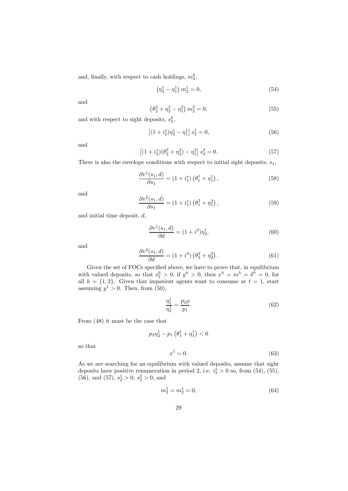and, finally, with respect to cash holdings,  $m_2^h$ ,

$$
\left(\eta_2^1 - \eta_1^1\right) m_2^1 = 0,\tag{54}
$$

and

$$
\left(\theta_2^2 + \eta_2^2 - \eta_1^2\right)m_2^2 = 0,\tag{55}
$$

and with respect to sight deposits,  $s_2^h$ ,

$$
\left[ (1 + i_2^s) \eta_2^1 - \eta_1^1 \right] s_2^1 = 0, \tag{56}
$$

and

$$
\[ (1+i_2^s)(\theta_2^2 + \eta_2^2) - \eta_1^2 \] s_2^2 = 0. \tag{57}
$$

There is also the envelope conditions with respect to initial sight deposits,  $s_1$ ,

$$
\frac{\partial v^1(s_1, d)}{\partial s_1} = (1 + i_1^s) \left(\theta_1^1 + \eta_1^1\right),\tag{58}
$$

and

$$
\frac{\partial v^2(s_1, d)}{\partial s_1} = (1 + i_1^s) \left(\theta_1^2 + \eta_1^2\right),\tag{59}
$$

and initial time deposit,  $d$ ,

$$
\frac{\partial v^1(s_1, d)}{\partial d} = (1 + i^d)\eta_2^1,\tag{60}
$$

and

so that

$$
\frac{\partial v^2(s_1, d)}{\partial d} = (1 + i^d) \left(\theta_2^2 + \eta_2^2\right). \tag{61}
$$

Given the set of FOCs specified above, we have to prove that, in equilibrium with valued deposits, so that  $s_2^h > 0$ , if  $y^h > 0$ , then  $x^h = m^h = \delta^{\bar{h}} = 0$ , for all  $h = \{1, 2\}$ . Given that impatient agents want to consume at  $t = 1$ , start assuming  $y^1 > 0$ . Then, from (50),

$$
\frac{\eta_1^1}{\eta_2^1} = \frac{p_2 \rho}{p_1}.\tag{62}
$$

From (48) it must be the case that

$$
p_2 \eta_2^1 - p_1 \left(\theta_1^1 + \eta_1^1\right) < 0
$$
\n
$$
x^1 = 0. \tag{63}
$$

As we are searching for an equilibrium with valued deposits, assume that sight deposits have positive remuneration in period 2, i.e.  $i_2^s > 0$  so, from (54), (55), (56), and (57),  $s_2^1 > 0$ ,  $s_2^2 > 0$ , and

$$
m_2^1 = m_2^1 = 0,\t\t(64)
$$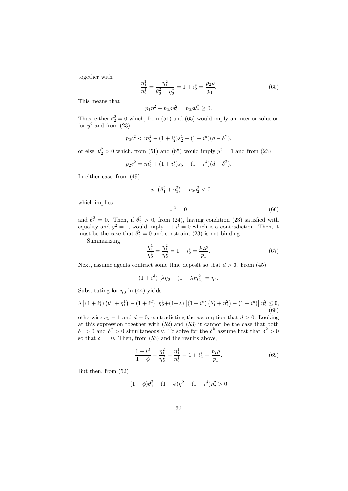together with

$$
\frac{\eta_1^1}{\eta_2^1} = \frac{\eta_1^2}{\theta_2^2 + \eta_2^2} = 1 + i_2^s = \frac{p_2 \rho}{p_1}.
$$
\n(65)

This means that

$$
p_1 \eta_1^2 - p_2 \rho \eta_2^2 = p_2 \rho \theta_2^2 \ge 0.
$$

Thus, either  $\theta_2^2 = 0$  which, from (51) and (65) would imply an interior solution for  $y^2$  and from  $(23)$ 

$$
p_2c^2 < m_2^2 + (1 + i_2^s)s_2^1 + (1 + i^d)(d - \delta^2),
$$

or else,  $\theta_2^2 > 0$  which, from (51) and (65) would imply  $y^2 = 1$  and from (23)

$$
p_2c^2 = m_2^2 + (1 + i_2^s)s_2^1 + (1 + i^d)(d - \delta^2).
$$

In either case, from (49)

$$
-p_1 \left(\theta_1^2 + \eta_1^2\right) + p_2 \eta_2^2 < 0
$$

which implies

$$
x^2 = 0\tag{66}
$$

and  $\theta_1^2 = 0$ . Then, if  $\theta_2^2 > 0$ , from (24), having condition (23) satisfied with equality and  $y^2 = 1$ , would imply  $1 + i^l = 0$  which is a contradiction. Then, it must be the case that  $\theta_2^2 = 0$  and constraint (23) is not binding.

Summarizing

$$
\frac{\eta_1^1}{\eta_2^1} = \frac{\eta_1^2}{\eta_2^2} = 1 + i_2^s = \frac{p_2 \rho}{p_1}.
$$
\n(67)

Next, assume agents contract some time deposit so that  $d > 0$ . From (45)

$$
(1 + id) \left[ \lambda \eta_2^1 + (1 - \lambda) \eta_2^2 \right] = \eta_0.
$$

Substituting for  $\eta_0$  in (44) yields

$$
\lambda \left[ \left( 1 + i_1^s \right) \left( \theta_1^1 + \eta_1^1 \right) - \left( 1 + i^d \right) \right] \eta_2^1 + \left( 1 - \lambda \right) \left[ \left( 1 + i_1^s \right) \left( \theta_1^2 + \eta_1^2 \right) - \left( 1 + i^d \right) \right] \eta_2^2 \le 0, \tag{68}
$$

otherwise  $s_1 = 1$  and  $d = 0$ , contradicting the assumption that  $d > 0$ . Looking at this expression together with (52) and (53) it cannot be the case that both  $\delta^1 > 0$  and  $\delta^2 > 0$  simultaneously. To solve for the  $\delta^h$  assume first that  $\delta^2 > 0$ so that  $\delta^1 = 0$ . Then, from (53) and the results above,

$$
\frac{1+i^d}{1-\phi} = \frac{\eta_1^2}{\eta_2^2} = \frac{\eta_1^1}{\eta_2^1} = 1 + i_2^s = \frac{p_2\rho}{p_1}.
$$
 (69)

But then, from (52)

$$
(1 - \phi)\theta_1^2 + (1 - \phi)\eta_1^2 - (1 + i^d)\eta_2^2 > 0
$$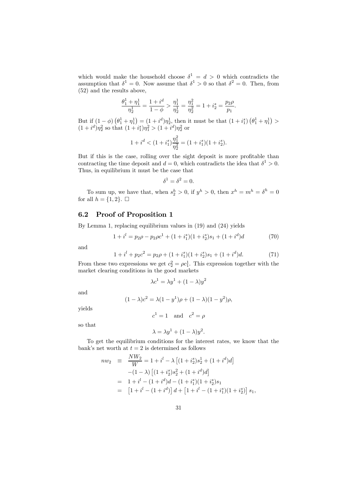which would make the household choose  $\delta^1 = d > 0$  which contradicts the assumption that  $\delta^1 = 0$ . Now assume that  $\delta^1 > 0$  so that  $\delta^2 = 0$ . Then, from (52) and the results above,

$$
\frac{\theta_1^1 + \eta_1^1}{\eta_2^1} = \frac{1 + i^d}{1 - \phi} > \frac{\eta_1^1}{\eta_2^1} = \frac{\eta_1^2}{\eta_2^2} = 1 + i_2^s = \frac{p_2 \rho}{p_1}.
$$

But if  $(1 - \phi) (\theta_1^1 + \eta_1^1) = (1 + i^d) \eta_2^1$ , then it must be that  $(1 + i_1^s) (\theta_1^1 + \eta_1^1)$  $(1 + i^d)\eta_2^2$  so that  $(1 + i_1^s)\eta_1^2 > (1 + i^d)\eta_2^2$  or

$$
1 + id < (1 + i1s) \frac{\eta_1^2}{\eta_2^2} = (1 + i1s)(1 + i2s).
$$

But if this is the case, rolling over the sight deposit is more profitable than contracting the time deposit and  $d = 0$ , which contradicts the idea that  $\delta^1 > 0$ . Thus, in equilibrium it must be the case that

$$
\delta^1 = \delta^2 = 0.
$$

To sum up, we have that, when  $s_2^h > 0$ , if  $y^h > 0$ , then  $x^h = m^h = \delta^h = 0$ for all  $h = \{1, 2\}$ .  $\Box$ 

#### 6.2 Proof of Proposition 1

By Lemma 1, replacing equilibrium values in (19) and (24) yields

$$
1 + il = p2 \rho - p2 \rho c1 + (1 + i1s)(1 + i2s)s1 + (1 + id)d
$$
 (70)

and

$$
1 + il + p2c2 = p2\rho + (1 + i1s)(1 + i2s)s1 + (1 + id)d.
$$
 (71)

From these two expressions we get  $c_2^2 = \rho c_1^1$ . This expression together with the market clearing conditions in the good markets

$$
\lambda c^1 = \lambda y^1 + (1 - \lambda)y^2
$$

and

$$
(1 - \lambda)c^{2} = \lambda(1 - y^{1})\rho + (1 - \lambda)(1 - y^{2})\rho,
$$

yields

$$
c^1 = 1
$$
 and  $c^2 = \rho$ 

so that

$$
\lambda = \lambda y^1 + (1 - \lambda)y^2.
$$

To get the equilibrium conditions for the interest rates, we know that the bank's net worth at  $t = 2$  is determined as follows

$$
n w_2 \equiv \frac{N W_2}{W} = 1 + i^l - \lambda \left[ (1 + i_2^s) s_2^1 + (1 + i^d) d \right]
$$
  
 
$$
- (1 - \lambda) \left[ (1 + i_2^s) s_2^2 + (1 + i^d) d \right]
$$
  
 
$$
= 1 + i^l - (1 + i^d) d - (1 + i_1^s) (1 + i_2^s) s_1
$$
  
 
$$
= \left[ 1 + i^l - (1 + i^d) \right] d + \left[ 1 + i^l - (1 + i_1^s) (1 + i_2^s) \right] s_1,
$$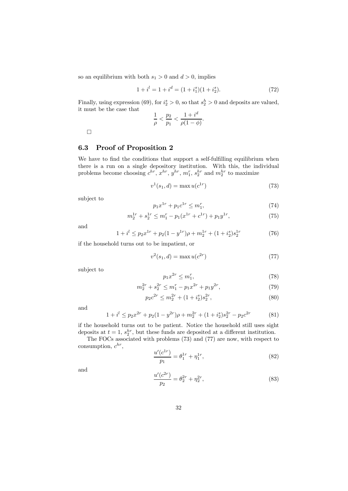so an equilibrium with both  $s_1 > 0$  and  $d > 0$ , implies

$$
1 + il = 1 + id = (1 + i1s)(1 + i2s). \t(72)
$$

Finally, using expression (69), for  $i_2^s > 0$ , so that  $s_2^h > 0$  and deposits are valued, it must be the case that

$$
\frac{1}{\rho} < \frac{p_2}{p_1} < \frac{1 + i^d}{\rho(1 - \phi)}.
$$

 $\Box$ 

#### 6.3 Proof of Proposition 2

We have to find the conditions that support a self-fulfilling equilibrium when there is a run on a single depository institution. With this, the individual problems become choosing  $c^{hr}$ ,  $x^{hr}$ ,  $y^{hr}$ ,  $m_1^r$ ,  $s_2^{hr}$  and  $m_2^{hr}$  to maximize

$$
v^{1}(s_{1}, d) = \max u(c^{1r})
$$
\n(73)

subject to

$$
p_1 x^{1r} + p_1 c^{1r} \le m_1^r,\tag{74}
$$

$$
m_2^{1r} + s_2^{1r} \le m_1^r - p_1(x^{1r} + c^{1r}) + p_1 y^{1r},\tag{75}
$$

and

$$
1 + il \le p_2 x^{1r} + p_2 (1 - y^{1r}) \rho + m_2^{1r} + (1 + i_2^s) s_2^{1r}
$$
 (76)

if the household turns out to be impatient, or

$$
v^{2}(s_{1}, d) = \max u(c^{2r})
$$
\n(77)

subject to

$$
p_1 x^{2r} \le m_1^r,\tag{78}
$$

$$
m_2^{2r} + s_2^{2r} \le m_1^r - p_1 x^{2r} + p_1 y^{2r},\tag{79}
$$

$$
p_2 c^{2r} \le m_2^{2r} + (1 + i_2^s) s_2^{2r},\tag{80}
$$

and

$$
1 + il \le p_2 x^{2r} + p_2 (1 - y^{2r}) \rho + m_2^{2r} + (1 + i_2^s) s_2^{2r} - p_2 c^{2r}
$$
 (81)

if the household turns out to be patient. Notice the household still uses sight deposits at  $t = 1$ ,  $s_2^{hr}$ , but these funds are deposited at a different institution.

The FOCs associated with problems (73) and (77) are now, with respect to consumption,  $c^{hr}$ ,

$$
\frac{u'(c^{1r})}{p_1} = \theta_1^{1r} + \eta_1^{1r},\tag{82}
$$

$$
\frac{u'(c^{2r})}{p_2} = \theta_2^{2r} + \eta_2^{2r},\tag{83}
$$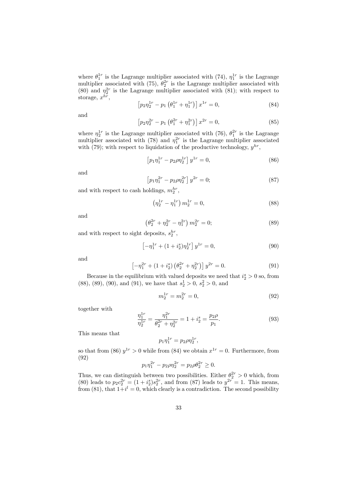where  $\theta_1^{1r}$  is the Lagrange multiplier associated with (74),  $\eta_1^{1r}$  is the Lagrange multiplier associated with (75),  $\theta_2^{2r}$  is the Lagrange multiplier associated with (80) and  $\eta_2^{2r}$  is the Lagrange multiplier associated with (81); with respect to storage,  $x^{hr}$ ,<br>  $[p_2 \eta_2^{1r} - p_1 (\theta_1^{1r} + \eta_1^{1r})] x^{1r} = 0,$  (84)

$$
\[p_2 \eta_2^{1r} - p_1 \left(\theta_1^{1r} + \eta_1^{1r}\right)\right] x^{1r} = 0,\tag{84}
$$

and

$$
\[p_2 \eta_2^{2r} - p_1 \left(\theta_1^{2r} + \eta_1^{2r}\right)\] x^{2r} = 0,\tag{85}
$$

where  $\eta_2^{1r}$  is the Lagrange multiplier associated with (76),  $\theta_1^{2r}$  is the Lagrange multiplier associated with (78) and  $\eta_1^{2r}$  is the Lagrange multiplier associated with (79); with respect to liquidation of the productive technology,  $y^{hr}$ ,

$$
\left[p_1 \eta_1^{1r} - p_2 \rho \eta_2^{1r}\right] y^{1r} = 0,\tag{86}
$$

and

$$
\[p_1\eta_1^{2r} - p_2\rho\eta_2^{2r}\]y^{2r} = 0;\tag{87}
$$

and with respect to cash holdings,  $m_2^{hr}$ ,

$$
\left(\eta_2^{1r} - \eta_1^{1r}\right) m_2^{1r} = 0,\tag{88}
$$

and

$$
\left(\theta_2^{2r} + \eta_2^{2r} - \eta_1^{2r}\right) m_2^{2r} = 0; \tag{89}
$$

and with respect to sight deposits,  $s_2^{hr}$ ,

$$
\left[-\eta_1^{1r} + (1+i_2^s)\eta_2^{1r}\right]y^{1r} = 0,\tag{90}
$$

and

$$
\left[-\eta_1^{2r} + (1+i_2^s) \left(\theta_2^{2r} + \eta_2^{2r}\right)\right] y^{2r} = 0.
$$
\n(91)

Because in the equilibrium with valued deposits we need that  $i_2^s > 0$  so, from (88), (89), (90), and (91), we have that  $s_2^1 > 0$ ,  $s_2^2 > 0$ , and

$$
m_2^{1r} = m_2^{2r} = 0,\t\t(92)
$$

together with

$$
\frac{\eta_1^{1r}}{\eta_2^{1r}} = \frac{\eta_1^{2r}}{\theta_2^{2r} + \eta_2^{2r}} = 1 + i_2^s = \frac{p_2\rho}{p_1}.
$$
\n(93)

This means that

$$
p_1 \eta_1^{1r} = p_2 \rho \eta_2^{1r},
$$

so that from (86)  $y^{1r} > 0$  while from (84) we obtain  $x^{1r} = 0$ . Furthermore, from (92)

$$
p_1 \eta_1^{2r} - p_2 \rho \eta_2^{2r} = p_2 \rho \theta_2^{2r} \ge 0.
$$

Thus, we can distinguish between two possibilities. Either  $\theta_2^{2r} > 0$  which, from (80) leads to  $p_2 c_2^{2r} = (1 + i_2^s) s_2^{2r}$ , and from (87) leads to  $y^{2r} = 1$ . This means, from (81), that  $1+i^l = 0$ , which clearly is a contradiction. The second possibility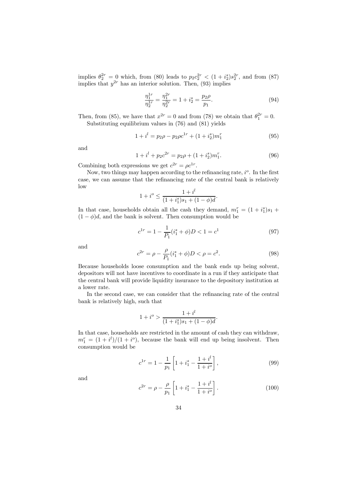implies  $\theta_2^{2r} = 0$  which, from (80) leads to  $p_2 c_2^{2r} < (1 + i_2^s) s_2^{2r}$ , and from (87) implies that  $y^{2r}$  has an interior solution. Then, (93) implies

$$
\frac{\eta_1^{1r}}{\eta_2^{1r}} = \frac{\eta_1^{2r}}{\eta_2^{2r}} = 1 + i_2^s = \frac{p_2\rho}{p_1}.
$$
\n(94)

Then, from (85), we have that  $x^{2r} = 0$  and from (78) we obtain that  $\theta_1^{2r} = 0$ . Substituting equilibrium values in (76) and (81) yields

$$
1 + il = p_2 \rho - p_2 \rho c^{1r} + (1 + i_2s) m_1^r
$$
 (95)

and

$$
1 + il + p_2 c^{2r} = p_2 \rho + (1 + i_2^s) m_1^r.
$$
 (96)

Combining both expressions we get  $c^{2r} = \rho c^{1r}$ .

Now, two things may happen according to the refinancing rate,  $i^o$ . In the first case, we can assume that the refinancing rate of the central bank is relatively low

$$
1 + i^{o} \le \frac{1 + i^{l}}{(1 + i_{1}^{s})s_{1} + (1 - \phi)d}
$$

In that case, households obtain all the cash they demand,  $m_1^r = (1 + i_1^s)s_1 +$  $(1 - \phi)d$ , and the bank is solvent. Then consumption would be

$$
c^{1r} = 1 - \frac{1}{P_1} (i_1^s + \phi) D < 1 = c^1
$$
\n(97)

 $\ddot{\phantom{0}}$ 

and

$$
c^{2r} = \rho - \frac{\rho}{P_1}(i_1^s + \phi)D < \rho = c^2. \tag{98}
$$

Because households loose consumption and the bank ends up being solvent, depositors will not have incentives to coordinate in a run if they anticipate that the central bank will provide liquidity insurance to the depository institution at a lower rate.

In the second case, we can consider that the refinancing rate of the central bank is relatively high, such that

$$
1 + i^o > \frac{1 + i^l}{(1 + i_1^s)s_1 + (1 - \phi)d}.
$$

In that case, households are restricted in the amount of cash they can withdraw,  $m_1^r = (1 + i^l)/(1 + i^o)$ , because the bank will end up being insolvent. Then consumption would be

$$
c^{1r} = 1 - \frac{1}{p_1} \left[ 1 + i_1^s - \frac{1 + i^l}{1 + i^o} \right],\tag{99}
$$

$$
c^{2r} = \rho - \frac{\rho}{p_1} \left[ 1 + i_1^s - \frac{1 + i^l}{1 + i^o} \right].
$$
 (100)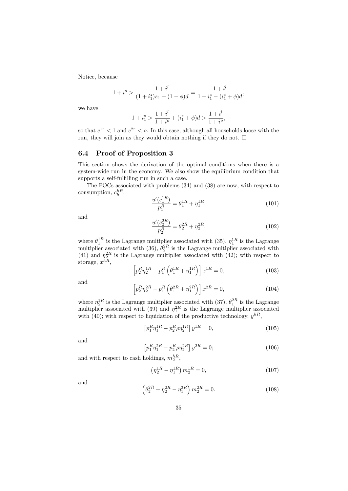Notice, because

$$
1 + i^{o} > \frac{1 + i^{l}}{(1 + i_{1}^{s})s_{1} + (1 - \phi)d} = \frac{1 + i^{l}}{1 + i_{1}^{s} - (i_{1}^{s} + \phi)d},
$$

we have

$$
1 + i_1^s > \frac{1 + i^l}{1 + i^o} + (i_1^s + \phi)d > \frac{1 + i^l}{1 + i^o},
$$

so that  $c^{1r} < 1$  and  $c^{2r} < \rho$ . In this case, although all households loose with the run, they will join as they would obtain nothing if they do not.  $\Box$ 

#### 6.4 Proof of Proposition 3

This section shows the derivation of the optimal conditions when there is a system-wide run in the economy. We also show the equilibrium condition that supports a self-fulfilling run in such a case.

The FOCs associated with problems (34) and (38) are now, with respect to consumption,  $c_h^{hR}$ ,

$$
\frac{u'(c_1^{1R})}{p_1^R} = \theta_1^{1R} + \eta_1^{1R},\tag{101}
$$

and

$$
\frac{u'(c_2^{2R})}{p_2^R} = \theta_2^{2R} + \eta_2^{2R},\tag{102}
$$

where  $\theta_1^{1R}$  is the Lagrange multiplier associated with (35),  $\eta_1^{1R}$  is the Lagrange multiplier associated with (36),  $\theta_2^{2R}$  is the Lagrange multiplier associated with (41) and  $\eta_2^{2R}$  is the Lagrange multiplier associated with (42); with respect to

storage, 
$$
x^{hR}
$$
,  
\n
$$
\left[p_2^R \eta_2^{1R} - p_1^R \left(\theta_1^{1R} + \eta_1^{1R}\right)\right] x^{1R} = 0,
$$
\n(103)

and

$$
\[p_2^R \eta_2^{2R} - p_1^R \left(\theta_1^{2R} + \eta_1^{2R}\right)\]x^{2R} = 0,\tag{104}
$$

where  $\eta_2^{1R}$  is the Lagrange multiplier associated with (37),  $\theta_1^{2R}$  is the Lagrange multiplier associated with (39) and  $\eta_1^{2R}$  is the Lagrange multiplier associated with (40); with respect to liquidation of the productive technology,  $y^{hR}$ ,

$$
\left[p_1^R \eta_1^{1R} - p_2^R \rho \eta_2^{1R}\right] y^{1R} = 0,\tag{105}
$$

and

$$
\left[p_1^R \eta_1^{2R} - p_2^R \rho \eta_2^{2R}\right] y^{2R} = 0; \tag{106}
$$

and with respect to cash holdings,  $m_2^{hR}$ ,

$$
\left(\eta_2^{1R} - \eta_1^{1R}\right) m_2^{1R} = 0,\tag{107}
$$

$$
\left(\theta_2^{2R} + \eta_2^{2R} - \eta_1^{2R}\right)m_2^{2R} = 0.
$$
 (108)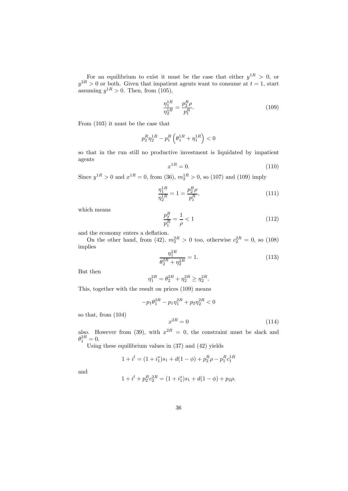For an equilibrium to exist it must be the case that either  $y^{1R} > 0$ , or  $y^{2R} > 0$  or both. Given that impatient agents want to consume at  $t = 1$ , start assuming  $y^{1R} > 0$ . Then, from (105),

$$
\frac{\eta_1^{1R}}{\eta_2^{1R}} = \frac{p_2^R \rho}{p_1^R}.
$$
\n(109)

From (103) it must be the case that

$$
p_2^R \eta_2^{1R} - p_1^R \left( \theta_1^{1R} + \eta_1^{1R}\right) < 0
$$

so that in the run still no productive investment is liquidated by impatient agents

$$
x^{1R} = 0.\tag{110}
$$

Since  $y^{1R} > 0$  and  $x^{1R} = 0$ , from (36),  $m_2^{1R} > 0$ , so (107) and (109) imply

$$
\frac{\eta_1^{1R}}{\eta_2^{1R}} = 1 = \frac{p_2^R \rho}{p_1^R},\tag{111}
$$

which means

$$
\frac{p_2^R}{p_1^R} = \frac{1}{\rho} < 1\tag{112}
$$

and the economy enters a deflation.

On the other hand, from (42),  $m_2^2 \ge 0$  too, otherwise  $c_2^2 = 0$ , so (108) implies

$$
\frac{\eta_1^{2R}}{\theta_2^{2R} + \eta_2^{2R}} = 1.
$$
\n(113)

But then

$$
\eta_1^{2R} = \theta_2^{2R} + \eta_2^{2R} \ge \eta_2^{2R}.
$$

This, together with the result on prices (109) means

$$
-p_1\theta_1^{2R} - p_1\eta_1^{2R} + p_2\eta_2^{2R} < 0
$$

so that, from (104)

$$
x^{2R} = 0\tag{114}
$$

also. However from (39), with  $x^{2R} = 0$ , the constraint must be slack and  $\theta_1^{2R} = 0.$ 

Using these equilibrium values in (37) and (42) yields

$$
1 + il = (1 + i1s)s1 + d(1 - \phi) + p2R \rho - p1R c11R
$$

$$
1 + il + p2R c22R = (1 + i1s)s1 + d(1 - \phi) + p2\rho.
$$